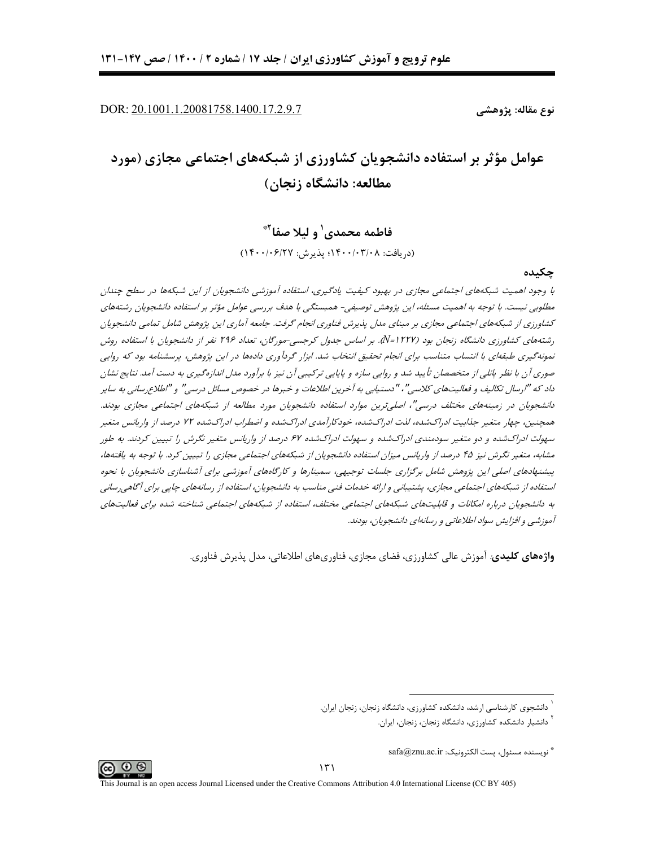DOR: 20.1001.1.20081758.1400.17.2.9.7

نوع مقاله: پژوهشے

# عوامل مؤثر بر استفاده دانشجویان کشاورزی از شبکههای اجتماعی مجازی (مورد مطالعه: دانشگاه زنجان)

فاطمه محمدي' و ليلا صفا<sup>٢</sup> (دريافت: ١۴٠٠/٠٣/٠٨؛ پذيرش: ١۴٠٠/٠۶/٢٧)

#### جكىدە

با وجود اهمیت شبکههای اجتماعی مجازی در بهبود کیفیت یادگیری، استفاده آموزشی دانشجویان از این شبکهها در سطح چندان مطلوبے نیست. با توجه به اهمیت مسئله، این پژوهش توصیفے- همیستگے با هدف بررسے عوامل مؤثر بر استفاده دانشجویان رشتههای کشاورزی از شبکههای اجتماعی مجازی بر مبنای مدل پذیرش فناوری انجام گرفت. جامعه آماری این پژوهش شامل تمامی دانشجویان رشتههای کشاورزی دانشگاه زنجان بود (N=۱۲۲۷). بر اساس جدول کرجسی-مورگان، تعداد ۲۹۶ نفر از دانشجویان با استفاده روش نمونهگیری طبقهای با انتساب متناسب برای انجام تحقیق انتخاب شد. ابزار گردآوری دادهها در این پژوهش، پرسشنامه بود که روایی صوری آن با نظر پانلی از متخصصان تأیید شد و روایی سازه و پایایی ترکیبی آن نیز با برآورد مدل اندازه گیری به دست آمد. نتایج نشان داد که "ارسال تکالیف و فعالیتهای کلاسی"، "دستیابی به آخرین اطلاعات و خبرها در خصوص مسائل درسی" و "اطلاع رسانی به سایر دانشجویان در زمینههای مختلف درسی"، اصلی ترین موارد استفاده دانشجویان مورد مطالعه از شبکههای اجتماعی مجازی بودند. همچنین، چهار متغیر جذابیت ادراکشده، لذت ادراکشده، خودکارآمدی ادراکشده و اضطراب ادراکشده ۷۲ درصد از واریانس متغیر سهولت ادراکشده و دو متغیر سودمندی ادراکشده و سهولت ادراکشده ۶۷ درصد از واریانس متغیر نگرش را تبیین کردند. به طور مشابه، متغیر نگرش نیز ۴۵ درصد از واریانس میزان استفاده دانشجویان از شبکههای اجتماعی مجازی را تبیین کرد. با توجه به یافتهها، پیشنهادهای اصلی این پژوهش شامل برگزاری جلسات توجیهی، سمینارها و کارگاههای آموزشی برای آشناسازی دانشجویان با نحوه استفاده از شبکههای اجتماعی مجازی، پشتیبانی و ارائه خدمات فنی مناسب به دانشجویان، استفاده از رسانههای چاپی برای آگاهی رسانی به دانشجویان درباره امکانات و قابلیتهای شبکههای اجتماعی مختلف، استفاده از شبکههای اجتماعی شناخته شده برای فعالیتهای آموزشی و افزایش سواد اطلاعاتی و رسانهای دانشجویان، بودند.

**واژههای کلیدی**: آموزش عالی کشاورزی، فضای مجازی، فناوریهای اطلاعاتی، مدل پذیرش فناوری.

<sup>&</sup>lt;sup>۱</sup> دانشجوی کارشناسی ارشد، دانشکده کشاورزی، دانشگاه زنجان، زنجان ایران.

<sup>&</sup>lt;sup>י</sup> دانشیار دانشکده کشاورزی، دانشگاه زنجان، زنجان، ایران.

 $\mathrm{safa}\mathcal{Q}$ znu.ac.ir ثويسنده مسئول، يست الكترونيك:  $^*$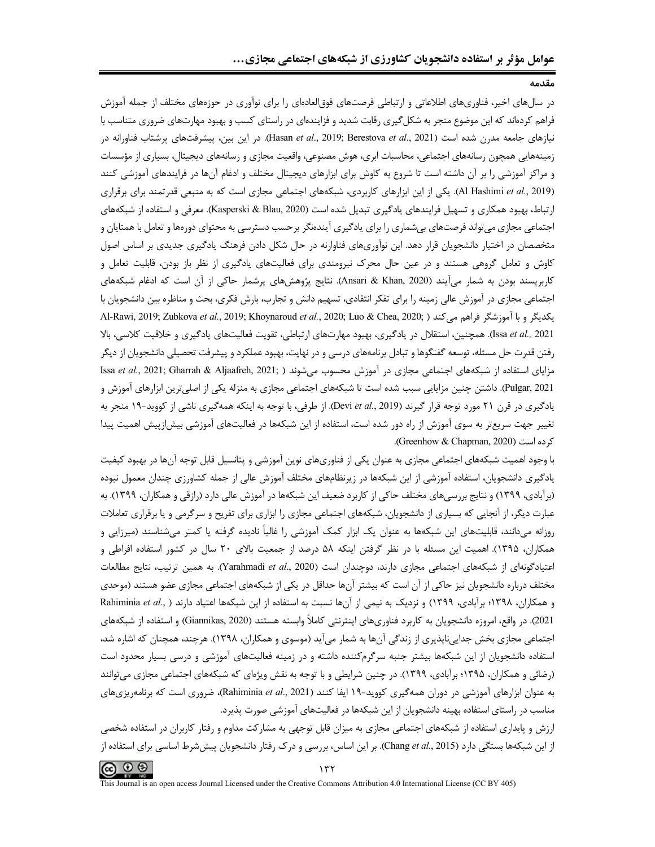در سالهای اخیر، فناوریهای اطلاعاتی و ارتباطی فرصتهای فوق|لعادهای را برای نوآوری در حوزههای مختلف از جمله آموزش فراهم کردهاند که این موضوع منجر به شکلگیری رقابت شدید و فزایندهای در راستای کسب و بهبود مهارتهای ضروری متناسب با نیازهای جامعه مدرن شده است (Hasan et al., 2019; Berestova et al., 2021). در این بین، پیشرفتهای پرشتاب فناورانه در زمینههایی همچون رسانههای اجتماعی، محاسبات ابری، هوش مصنوعی، واقعیت مجازی و رسانههای دیجیتال، بسیاری از مؤسسات و مراکز آموزشی را بر آن داشته است تا شروع به کاوش برای ابزارهای دیجیتال مختلف و ادغام آنها در فرایندهای آموزشی کنند (Al Hashimi et al., 2019). یکی از این ابزارهای کاربردی، شبکههای اجتماعی مجازی است که به منبعی قدرتمند برای برقراری ارتباط، بهبود همکاری و تسهیل فرایندهای یادگیری تبدیل شده است (Kasperski & Blau, 2020). معرفی و استفاده از شبکههای اجتماعی مجازی میتواند فرصتهای بیشماری را برای یادگیری آیندهنگر برحسب دسترسی به محتوای دورهها و تعامل با همتایان و متخصصان در اختیار دانشجویان قرار دهد. این نوآوریهای فناوارنه در حال شکل دادن فرهنگ یادگیری جدیدی بر اساس اصول کاوش و تعامل گروهی هستند و در عین حال محرک نیرومندی برای فعالیتهای یادگیری از نظر باز بودن، قابلیت تعامل و کاربرپسند بودن به شمار میآیند (Ansari & Khan, 2020). نتایج پژوهشهای پرشمار حاکی از آن است که ادغام شبکههای اجتماعی مجازی در آموزش عالی زمینه را برای تفکر انتقادی، تسهیم دانش و تجارب، بارش فکری، بحث و مناظره بین دانشجویان با Al-Rawi, 2019; Zubkova et al., 2019; Khoynaroud et al., 2020; Luo & Chea, 2020; ) يكديگر و با آموزشگر فراهم مى كند ( .Al-Rawi, 2019 Issa et al., 2021). همچنین، استقلال در یادگیری، بهبود مهارتهای ارتباطی، تقویت فعالیتهای یادگیری و خلاقیت کلاسی، بالا رفتن قدرت حل مسئله، توسعه گفتگوها و تبادل برنامههای درسی و در نهایت، بهبود عملکرد و پیشرفت تحصیلی دانشجویان از دیگر Issa et al., 2021; Gharrah & Aljaafreh, 2021; ) مزاياى استفاده از دشته دو Issa et al., 2021; Gharrah & Aljaafreh, 2021; ) Pulgar, 2021). داشتن چنین مزایایی سبب شده است تا شبکههای اجتماعی مجازی به منزله یکی از اصلی ترین ابزارهای آموزش و یادگیری در قرن ۲۱ مورد توجه قرار گیرند (Devi et al., 2019). از طرفی، با توجه به اینکه همهگیری ناشی از کووید-۱۹ منجر به تغییر جهت سریع ّر به سوی آموزش از راه دور شده است، استفاده از این شبکهها در فعالیتهای آموزشی بیش!زییش اهمیت پیدا كرده است (Greenhow & Chapman, 2020).

با وجود اهمیت شبکههای اجتماعی مجازی به عنوان یکی از فناوریهای نوین آموزشی و پتانسیل قابل توجه آنها در بهبود کیفیت یادگیری دانشجویان، استفاده آموزشی از این شبکهها در زیرنظامهای مختلف آموزش عالی از جمله کشاورزی چندان معمول نبوده (برآبادی، ۱۳۹۹) و نتایج بررسیهای مختلف حاکی از کاربرد ضعیف این شبکهها در آموزش عالی دارد (رازقی و همکاران، ۱۳۹۹). به عبارت دیگر، از آنجایی که بسیاری از دانشجویان، شبکههای اجتماعی مجازی را ابزاری برای تفریح و سرگرمی و یا برقراری تعاملات روزانه میدانند، قابلیتهای این شبکهها به عنوان یک ابزار کمک آموزشی را غالباً نادیده گرفته یا کمتر میشناسند (میرزایی و همکاران، ۱۳۹۵). اهمیت این مسئله با در نظر گرفتن اینکه ۵۸ درصد از جمعیت بالای ۲۰ سال در کشور استفاده افراطی و اعتیادگونهای از شبکههای اجتماعی مجازی دارند، دوچندان است (Yarahmadi et al., 2020). به همین ترتیب، نتایج مطالعات مختلف درباره دانشجویان نیز حاکی از آن است که بیشتر آنها حداقل در یکی از شبکههای اجتماعی مجازی عضو هستند (موحدی و همكاران، ١٣٩٨؛ برآبادى، ١٣٩٩) و نزديك به نيمي از آنها نسبت به استفاده از اين شبكهها اعتياد دارند ( ..Rahiminia et al 2021). در واقع، امروزه دانشجویان به کاربرد فناوریهای اینترنتی کاملاً وابسته هستند (Giannikas, 2020) و استفاده از شبکههای اجتماعی مجازی بخش جداییناپذیری از زندگی آنها به شمار میآید (موسوی و همکاران، ۱۳۹۸). هرچند، همچنان که اشاره شد، استفاده دانشجویان از این شبکهها بیشتر جنبه سرگرمکننده داشته و در زمینه فعالیتهای آموزشی و درسی بسیار محدود است (رضائی و همکاران، ۱۳۹۵؛ برآبادی، ۱۳۹۹). در چنین شرایطی و با توجه به نقش ویژهای که شبکههای اجتماعی مجازی میتوانند به عنوان ابزارهای آموزشی در دوران همهگیری کووید-۱۹ ایفا کنند (Rahiminia *et al.*, 2021)، ضروری است که برنامهریزیهای مناسب در راستای استفاده بهینه دانشجویان از این شبکهها در فعالیتهای آموزشی صورت پذیرد.

ارزش و پایداری استفاده از شبکههای اجتماعی مجازی به میزان قابل توجهی به مشارکت مداوم و رفتار کاربران در استفاده شخصی از این شبکهها بستگی دارد (Chang et al., 2015). بر این اساس، بررسی و درک رفتار دانشجویان پیششرط اساسی برای استفاده از

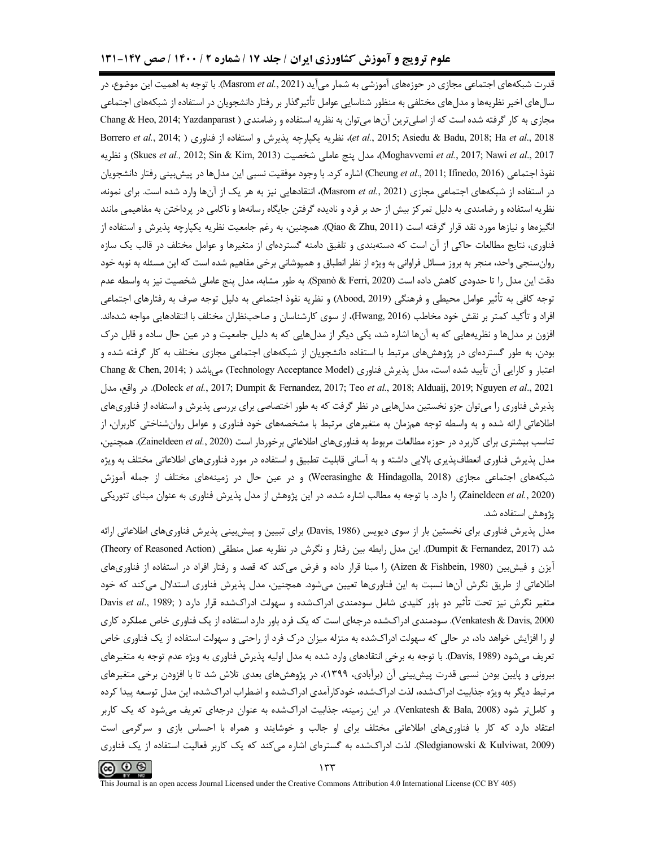### علوم ترویج و آموزش کشاورزی ایران / جلد ۱۷ / شماره ۲ / ۱۴۰۰ / صص ۱۴۷-۱۳۱

قدرت شبکههای اجتماعی مجازی در حوزههای آموزشی به شمار میآید (Masrom *et al*., 2021). با توجه به اهمیت این موضوع، در سالهای اخیر نظریهها و مدلهای مختلفی به منظور شناسایی عوامل تأثیرگذار بر رفتار دانشجویان در استفاده از شبکههای اجتماعی مجازی به کار گرفته شده است که از اصلی ترین آن ها می توان به نظریه استفاده و رضامندی ( Chang & Heo, 2014; Yazdanparast et al., 2015; Asiedu & Badu, 2018; Ha et al., 2018)، نظريه يكپارچه پذيرش و استفاده از فناوري ( Borrero et al., 2014; ) 617, Moghavvemi et al., 2017; Nawi et al., 2017)، مدل پنج عاملی شخصیت (Skues et al., 2012; Sin & Kim, 2013) و نظريه نفوذ اجتماعي (Cheung et al., 2011; Ifinedo, 2016) اشاره كرد. با وجود موفقيت نسبي اين مدلها در پيش بيني رفتار دانشجويان در استفاده از شبکههای اجتماعی مجازی (Masrom et al., 2021)، انتقادهایی نیز به هر یک از آنها وارد شده است. برای نمونه، نظریه استفاده و رضامندی به دلیل تمرکز بیش از حد بر فرد و نادیده گرفتن جایگاه رسانهها و ناکامی در پرداختن به مفاهیمی مانند انگیزهها و نیازها مورد نقد قرار گرفته است (Qiao & Zhu, 2011). همچنین، به رغم جامعیت نظریه یکپارچه پذیرش و استفاده از فناوري، نتايج مطالعات حاكي از آن است كه دستهبندي و تلفيق دامنه گستردهاي از متغيرها و عوامل مختلف در قالب يک سازه روانسنجی واحد، منجر به بروز مسائل فراوانی به ویژه از نظر انطباق و همپوشانی برخی مفاهیم شده است که این مسئله به نوبه خود دقت این مدل را تا حدودی کاهش داده است (Spanò & Ferri, 2020). به طور مشابه، مدل پنج عاملی شخصیت نیز به واسطه عدم توجه كافي به تأثير عوامل محيطي و فرهنگي (Abood, 2019) و نظريه نفوذ اجتماعي به دليل توجه صرف به رفتارهاي اجتماعي افراد و تأكيد كمتر بر نقش خود مخاطب (Hwang, 2016)، از سوى كارشناسان و صاحبنظران مختلف با انتقادهايي مواجه شدهاند. افزون بر مدلها و نظریههایی که به آنها اشاره شد، یکی دیگر از مدلهایی که به دلیل جامعیت و در عین حال ساده و قابل درک بودن، به طور گستردهای در پژوهشهای مرتبط با استفاده دانشجویان از شبکههای اجتماعی مجازی مختلف به کار گرفته شده و اعتبار و كارايي آن تأييد شده است، مدل پذيرش فناوري (Technology Acceptance Model) ميباشد ( ;Chang & Chen, 2014 Doleck et al., 2017; Dumpit & Fernandez, 2017; Teo et al., 2018; Alduaij, 2019; Nguyen et al., 2021. در واقع، مدل پذیرش فناوری را می توان جزو نخستین مدل&ایی در نظر گرفت که به طور اختصاصی برای بررسی پذیرش و استفاده از فناوریهای اطلاعاتی ارائه شده و به واسطه توجه همزمان به متغیرهای مرتبط با مشخصههای خود فناوری و عوامل روانشناختی کاربران، از تناسب بیشتری برای کاربرد در حوزه مطالعات مربوط به فناوریهای اطلاعاتی برخوردار است (Zaineldeen *et al.*, 2020). همچنین، مدل پذیرش فناوری انعطاف،پذیری بالایی داشته و به آسانی قابلیت تطبیق و استفاده در مورد فناوریهای اطلاعاتی مختلف به ویژه شبکههای اجتماعی مجازی (Weerasinghe & Hindagolla, 2018) و در عین حال در زمینههای مختلف از جمله آموزش (Zaineldeen et al., 2020) را دارد. با توجه به مطالب اشاره شده، در این پژوهش از مدل پذیرش فناوری به عنوان مبنای تئوریکی يژوهش استفاده شد.

مدل پذیرش فناوری برای نخستین بار از سوی دیویس (Davis, 1986) برای تبیین و پیشبینی پذیرش فناوریهای اطلاعاتی ارائه شد (Dumpit & Fernandez, 2017). این مدل رابطه بین رفتار و نگرش در نظریه عمل منطقی (Theory of Reasoned Action) آیزن و فیش,بین (Aizen & Fishbein, 1980) را مبنا قرار داده و فرض میکند که قصد و رفتار افراد در استفاده از فناوریهای اطلاعاتی از طریق نگرش آنها نسبت به این فناوریها تعیین میشود. همچنین، مدل پذیرش فناوری استدلال میکند که خود متغیر نگرش نیز تحت تأثیر دو باور کلیدی شامل سودمندی ادراکشده و سهولت ادراکشده قرار دارد ( ,Davis *et al*., 1989 Venkatesh & Davis, 2000). سودمندی ادراکشده درجهای است که یک فرد باور دارد استفاده از یک فناوری خاص عملکرد کاری او را افزایش خواهد داد، در حالی که سهولت ادراکشده به منزله میزان درک فرد از راحتی و سهولت استفاده از یک فناوری خاص تعريف مي شود (Davis, 1989). با توجه به برخي انتقادهاي وارد شده به مدل اوليه پذيرش فناوري به ويژه عدم توجه به متغيرهاي بیرونی و پایین بودن نسبی قدرت پیش,ینی آن (برآبادی، ۱۳۹۹)، در پژوهشهای بعدی تلاش شد تا با افزودن برخی متغیرهای مرتبط دیگر به ویژه جذابیت ادراکشده، لذت ادراکشده، خودکارآمدی ادراکشده و اضطراب ادراکشده، این مدل توسعه پیدا کرده و کاملتر شود (Venkatesh & Bala, 2008). در این زمینه، جذابیت ادراکشده به عنوان درجهای تعریف میشود که یک کاربر اعتقاد دارد که کار با فناوریهای اطلاعاتی مختلف برای او جالب و خوشایند و همراه با احساس بازی و سرگرمی است (Sledgianowski & Kulviwat, 2009). لذت ادراكشده به گسترهای اشاره می كند كه یک كاربر فعالیت استفاده از یک فناوری

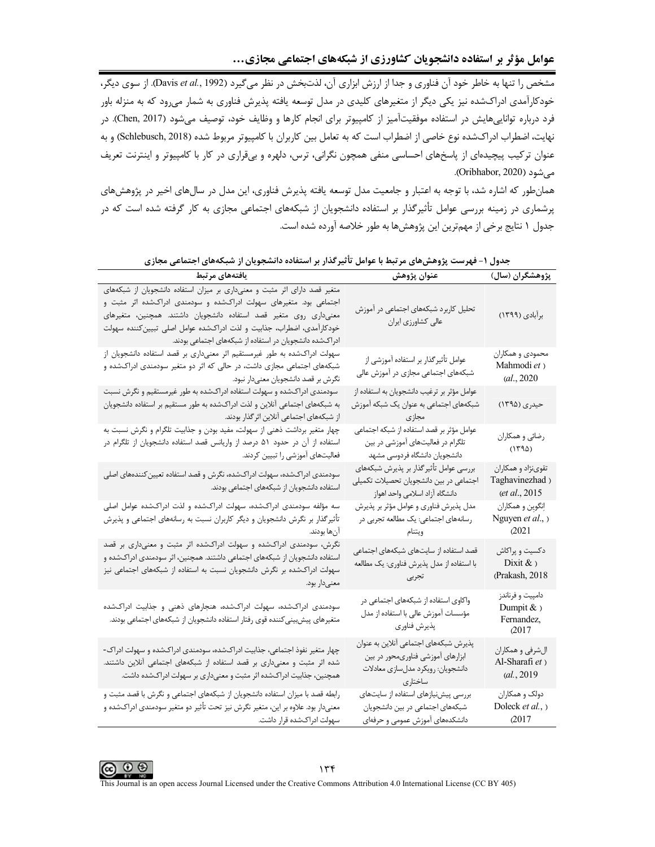.<br>مشخص را تنها به خاطر خود آن فناوري و جدا از ارزش ابزاري آن، لذت بخش در نظر مي گيرد (Davis *et al.*, 1992). از سوي ديگر، خودکارآمدی ادراکشده نیز یکی دیگر از متغیرهای کلیدی در مدل توسعه یافته پذیرش فناوری به شمار میرود که به منزله باور فرد درباره تواناییهایش در استفاده موفقیتآمیز از کامپیوتر برای انجام کارها و وظایف خود، توصیف میشود (Chen, 2017). در نهايت، اضطراب ادراكشده نوع خاصي از اضطراب است كه به تعامل بين كاربران با كامپيوتر مربوط شده (Schlebusch, 2018) و به عنوان ترکیب پیچیدهای از پاسخهای احساسی منفی همچون نگرانی، ترس، دلهره و بیقراری در کار با کامپیوتر و اینترنت تعریف می شود (Oribhabor, 2020).

همانطور که اشاره شد، با توجه به اعتبار و جامعیت مدل توسعه یافته پذیرش فناوری، این مدل در سالهای اخیر در پژوهشهای پرشماری در زمینه بررسی عوامل تأثیرگذار بر استفاده دانشجویان از شبکههای اجتماعی مجازی به کار گرفته شده است که در جدول ١ نتايج برخي از مهمترين اين پژوهشها به طور خلاصه آورده شده است.

| يافتههاى مرتبط                                                                                                                                                                                                                                                                                                                                           | عنوان پژوهش                                                                                                                | پژوهشگران (سال)                                        |
|----------------------------------------------------------------------------------------------------------------------------------------------------------------------------------------------------------------------------------------------------------------------------------------------------------------------------------------------------------|----------------------------------------------------------------------------------------------------------------------------|--------------------------------------------------------|
| متغیر قصد دارای اثر مثبت و معنیداری بر میزان استفاده دانشجویان از شبکههای<br>اجتماعی بود. متغیرهای سهولت ادراکشده و سودمندی ادراکشده اثر مثبت و<br>معنیداری روی متغیر قصد استفاده دانشجویان داشتند. همچنین، متغیرهای<br>خودکارآمدی، اضطراب، جذابیت و لذت ادراکشده عوامل اصلی تبیینکننده سهولت<br>ادراکشده دانشجویان در استفاده از شبکههای اجتماعی بودند. | تحلیل کاربرد شبکههای اجتماعی در آموزش<br>عالى كشاورزي ايران                                                                | برأبادي (١٣٩٩)                                         |
| سهولت ادراکشده به طور غیرمستقیم اثر معنیداری بر قصد استفاده دانشجویان از<br>شبکههای اجتماعی مجازی داشت، در حالی که اثر دو متغیر سودمندی ادراکشده و<br>نگرش بر قصد دانشجویان معنیدار نبود.                                                                                                                                                                | عوامل تأثير گذار بر استفاده آموزشي از<br>شبکههای اجتماعی مجازی در آموزش عالی                                               | محمودي و همكاران<br>Mahmodi et)<br>(al., 2020          |
| سودمندی ادراکشده و سهولت استفاده ادراکشده به طور غیرمستقیم و نگرش نسبت<br>به شبکههای اجتماعی آنلاین و لذت ادراکشده به طور مستقیم بر استفاده دانشجویان<br>از شبکههای اجتماعی آنلاین اثر گذار بودند.                                                                                                                                                       | عوامل مؤثر بر ترغيب دانشجويان به استفاده از<br>شبکههای اجتماعی به عنوان یک شبکه آموزش<br>مجازى                             | حیدری (۱۳۹۵)                                           |
| چهار متغیر برداشت ذهنی از سهولت، مفید بودن و جذابیت تلگرام و نگرش نسبت به<br>استفاده از آن در حدود ۵۱ درصد از واریانس قصد استفاده دانشجویان از تلگرام در<br>فعالیتهای آموزشی را تبیین کردند.                                                                                                                                                             | عوامل مؤثر بر قصد استفاده از شبكه اجتماعي<br>تلگرام در فعالیتهای آموزشی در بین<br>دانشجويان دانشگاه فردوسي مشهد            | رضائي و همكاران<br>(1790)                              |
| سودمندی ادراکشده، سهولت ادراکشده، نگرش و قصد استفاده تعیین کنندههای اصلی<br>استفاده دانشجویان از شبکههای اجتماعی بودند.                                                                                                                                                                                                                                  | بررسي عوامل تأثير گذار بر پذيرش شبكههاي<br>اجتماعی در بین دانشجویان تحصیلات تکمیلی<br>دانشگاه آزاد اسلامی واحد اهواز       | تقوىنژاد و همكاران<br>Taghavinezhad)<br>(et al., 2015  |
| سه مؤلفه سودمندی ادراکشده، سهولت ادراکشده و لذت ادراکشده عوامل اصلی<br>تأثیرگذار بر نگرش دانشجویان و دیگر کاربران نسبت به رسانههای اجتماعی و پذیرش<br>آن ها بودند.                                                                                                                                                                                       | مدل پذیرش فناوری و عوامل مؤثر بر پذیرش<br>رسانههای اجتماعی: یک مطالعه تجربی در<br>ويتنام                                   | إنگوين و همكاران<br>Nguyen et al., )<br>(2021)         |
| نگرش، سودمندی ادراکشده و سهولت ادراکشده اثر مثبت و معنیداری بر قصد<br>استفاده دانشجویان از شبکههای اجتماعی داشتند. همچنین، اثر سودمندی ادراکشده و<br>سهولت ادراکشده بر نگرش دانشجویان نسبت به استفاده از شبکههای اجتماعی نیز<br>معنىدار بود.                                                                                                             | قصد استفاده از سایتهای شبکههای اجتماعی<br>با استفاده از مدل پذیرش فناوری: یک مطالعه<br>تجربى                               | دکسیت و پراکاش<br>Dixit $\&$ )<br>(Prakash, 2018       |
| سودمندی ادراکشده، سهولت ادراکشده، هنجارهای ذهنی و جذابیت ادراکشده<br>متغيرهاي پيش بيني كننده قوى رفتار استفاده دانشجويان از شبكههاي اجتماعي بودند.                                                                                                                                                                                                       | واکاوی استفاده از شبکههای اجتماعی در<br>مؤسسات آموزش عالی با استفاده از مدل<br>پذيرش فناوري                                | دامپیت و فرناندز<br>Dumpit & )<br>Fernandez,<br>(2017) |
| چهار متغیر نفوذ اجتماعی، جذابیت ادراکشده، سودمندی ادراکشده و سهولت ادراک-<br>شده اثر مثبت و معنیداری بر قصد استفاده از شبکههای اجتماعی آنلاین داشتند.<br>همچنین، جذابیت ادراکشده اثر مثبت و معنیداری بر سهولت ادراکشده داشت.                                                                                                                             | پذیرش شبکههای اجتماعی آنلاین به عنوان<br>ابزارهای آموزشی فناوریمحور در بین<br>دانشجويان: رويكرد مدلسازي معادلات<br>ساختارى | الشرفي و همكاران<br>Al-Sharafi et)<br>(al., 2019       |
| رابطه قصد با میزان استفاده دانشجویان از شبکههای اجتماعی و نگرش با قصد مثبت و<br>معنیدار بود. علاوه بر این، متغیر نگرش نیز تحت تأثیر دو متغیر سودمندی ادراکشده و<br>سهولت ادراکشده قرار داشت.                                                                                                                                                             | بررسی پیشنیازهای استفاده از سایتهای<br>شبکههای اجتماعی در بین دانشجویان<br>دانشکدههای آموزش عمومی و حرفهای                 | دولک و همکاران<br>Doleck et al., )<br>(2017)           |

جدول ۱– فهرست پژوهشهای مرتبط با عوامل تأثیرگذار بر استفاده دانشجویان از شبکههای اجتماعی مجازی

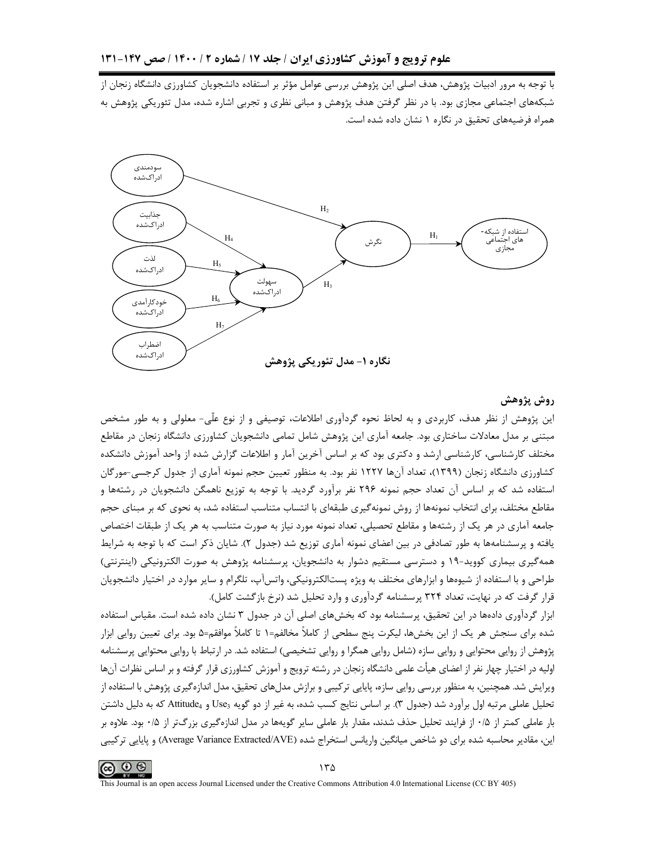با توجه به مرور ادبیات پژوهش، هدف اصلی این پژوهش بررسی عوامل مؤثر بر استفاده دانشجویان کشاورزی دانشگاه زنجان از شبکههای اجتماعی مجازی بود. با در نظر گرفتن هدف پژوهش و مبانی نظری و تجربی اشاره شده، مدل تئوریکی پژوهش به همراه فرضیههای تحقیق در نگاره ۱ نشان داده شده است.



### روش پژوهش

این پژوهش از نظر هدف، کاربردی و به لحاظ نحوه گردآوری اطلاعات، توصیفی و از نوع علّی- معلولی و به طور مشخص مبتنی بر مدل معادلات ساختاری بود. جامعه آماری این پژوهش شامل تمامی دانشجویان کشاورزی دانشگاه زنجان در مقاطع مختلف کارشناسی، کارشناسی ارشد و دکتری بود که بر اساس آخرین آمار و اطلاعات گزارش شده از واحد آموزش دانشکده کشاورزی دانشگاه زنجان (۱۳۹۹)، تعداد آنها ۱۲۲۷ نفر بود. به منظور تعیین حجم نمونه آماری از جدول کرجسی-مورگان استفاده شد که بر اساس آن تعداد حجم نمونه ۲۹۶ نفر برآورد گردید. با توجه به توزیع ناهمگن دانشجویان در رشتهها و مقاطع مختلف، برای انتخاب نمونهها از روش نمونه گیری طبقهای با انتساب متناسب استفاده شد، به نحوی که بر مبنای حجم جامعه آماري در هر يک از رشتهها و مقاطع تحصيلي، تعداد نمونه مورد نياز به صورت متناسب به هر يک از طبقات اختصاص یافته و پرسشنامهها به طور تصادفی در بین اعضای نمونه آماری توزیع شد (جدول ۲). شایان ذکر است که با توجه به شرایط همه گیری بیماری کووید-۱۹ و دسترسی مستقیم دشوار به دانشجویان، پرسشنامه پژوهش به صورت الکترونیکی (اینترنتی) طراحی و با استفاده از شیوهها و ابزارهای مختلف به ویژه پستالکترونیکی، واتسآپ، تلگرام و سایر موارد در اختیار دانشجویان قرار گرفت که در نهایت، تعداد ۳۲۴ پرسشنامه گردآوری و وارد تحلیل شد (نرخ بازگشت کامل).

ابزار گردآوری دادهها در این تحقیق، پرسشنامه بود که بخشهای اصلی آن در جدول ۳ نشان داده شده است. مقیاس استفاده شده برای سنجش هر یک از این بخشها، لیکرت پنج سطحی از کاملاً مخالفم=۱ تا کاملاً موافقم=۵ بود. برای تعیین روایی ابزار پژوهش از روايي محتوايي و روايي سازه (شامل روايي همگرا و روايي تشخيصي) استفاده شد. در ارتباط با روايي محتوايي پرسشنامه اولیه در اختیار چهار نفر از اعضای هیأت علمی دانشگاه زنجان در رشته ترویج و آموزش کشاورزی قرار گرفته و بر اساس نظرات آنها ویرایش شد. همچنین، به منظور بررسی روایی سازه، پایایی ترکیبی و برازش مدلهای تحقیق، مدل اندازهگیری پژوهش با استفاده از تحلیل عاملی مرتبه اول برآورد شد (جدول ۳). بر اساس نتایج کسب شده، به غیر از دو گویه Use3 و Attitude4 که به دلیل داشتن بار عاملی کمتر از ۰/۵ از فرایند تحلیل حذف شدند، مقدار بار عاملی سایر گویهها در مدل اندازهگیری بزرگتر از ۰/۵ بود. علاوه بر این، مقادیر محاسبه شده برای دو شاخص میانگین واریانس استخراج شده (Average Variance Extracted/AVE) و پایایی ترکیبی

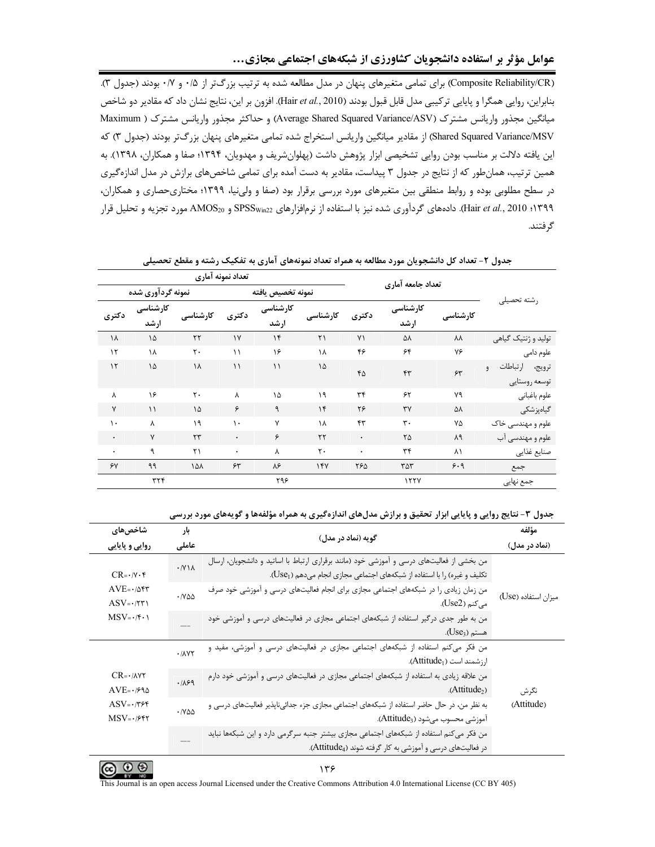(Composite Reliability/CR) برای تمامی متغیرهای پنهان در مدل مطالعه شده به ترتیب بزرگتر از ۰/۵ و ۰/۷ بودند (جدول ۳). بنابراين، روايي همگرا و پايايي تركيبي مدل قابل قبول بودند (Hair et al., 2010). افزون بر اين، نتايج نشان داد كه مقادير دو شاخص میانگین مجذور واریانس مشترک (Average Shared Squared Variance/ASV) و حداکثر مجذور واریانس مشترک ( Maximum Shared Squared Variance/MSV) از مقادیر میانگین واریانس استخراج شده تمامی متغیرهای پنهان بزرگتر بودند (جدول ۳) که این یافته دلالت بر مناسب بودن روایی تشخیصی ابزار پژوهش داشت (پهلوانشریف و مهدویان، ۱۳۹۴؛ صفا و همکاران، ۱۳۹۸). به همین ترتیب، همانطور که از نتایج در جدول ۳ پیداست، مقادیر به دست آمده برای تمامی شاخصهای برازش در مدل اندازهگیری در سطح مطلوبی بوده و روابط منطقی بین متغیرهای مورد بررسی برقرار بود (صفا و ولینیا، ۱۳۹۹؛ مختاریحصاری و همکاران، ۱۳۹۹؛ Hair et al., 2010). دادههای گردآوری شده نیز با استفاده از نرمافزارهای SPSS<sub>win22</sub> و AMOS<sub>20</sub> مورد تجزیه و تحلیل قرار گر فتند.

| تعداد نمونه آماري |            |                   |                   |                        |                |                  |          |                                                 |  |
|-------------------|------------|-------------------|-------------------|------------------------|----------------|------------------|----------|-------------------------------------------------|--|
|                   |            |                   | نمونه تخصيص يافته |                        |                |                  |          |                                                 |  |
| کارشناسی<br>ارشد  | كارشناسى   | دكترى             | كارشناسى<br>ارشد  | كارشناسى               | دكترى          | كارشناسى<br>ارشد | كارشناسى | , شته تحصیلی                                    |  |
| ۱۵                | ٢٢         | $\gamma$          | $\mathcal{N}$     | $\mathsf{r}\mathsf{1}$ | Y <sub>1</sub> | ۵٨               | ٨٨       | تولید و ژنتیک گیاهی                             |  |
| ١٨                | ٢٠         | $\setminus$       | ۱۶                | ١٨                     | ۴۶             | ۶۴               | ٧۶       | علوم دامی                                       |  |
| ۱۵                | ۱۸         | $\setminus$       | $\setminus$       | ۱۵                     | ۴۵             | ۴٣               | 55       | ارتباطات<br>ترويج،<br>$\theta$<br>توسعه روستايي |  |
| ۱۶                | ٢٠         | λ                 | ۱۵                | ۱۹                     | $\tau$         | ۶۲               | ٧٩       | علوم باغباني                                    |  |
| $\mathcal{L}$     | ۱۵         | ۶                 | ٩                 | $\gamma$               | ٢۶             | ٣٧               | ۵٨       | گیاەپزشكى                                       |  |
| λ                 | ۱۹         | $\mathcal{L}$     | ٧                 | ١٨                     | ۴٣             | ٣.               | ٧۵       | علوم و مهندسی خاک                               |  |
| $\mathsf{v}$      | $\tau\tau$ | $\bullet$         | ۶                 | $\tau\tau$             | $\bullet$      | ٢۵               | ٨٩       | علوم و مهندسی آب                                |  |
| ٩                 | ۲۱         | $\bullet$         | Υ                 | ٢٠                     | $\bullet$      | ٣۴               | ۸۱       | صنايع غذايي                                     |  |
| ۹۹                | ۱۵۸        | 55                | ٨۶                | 14V                    | ٢۶۵            | ٣۵٣              | 9.9      | جمع                                             |  |
| ٣٢۴               |            |                   | ۲۹۶               |                        |                | 1777             |          | جمع نھایی                                       |  |
|                   |            | نمونه گردآوری شده |                   |                        |                |                  |          | تعداد جامعه آماري                               |  |

جدول ۲- تعداد کل دانشجویان مورد مطالعه به همراه تعداد نمونههای آماری به تفکیک رشته و مقطع تحصیلی

#### جدول ۳- نتایج روایی و پایایی ابزار تحقیق و برازش مدلهای اندازهگیری به همراه مؤلفهها و گویههای مورد بررسی

| شاخصهای                                                                                                                                                                                                     | بار                          |                                                                                                                                                                       | مؤلفه               |
|-------------------------------------------------------------------------------------------------------------------------------------------------------------------------------------------------------------|------------------------------|-----------------------------------------------------------------------------------------------------------------------------------------------------------------------|---------------------|
| روایی و پایایی                                                                                                                                                                                              | عاملى                        | گويه (نماد در مدل)                                                                                                                                                    | (نماد در مدل)       |
| $CR = \cdot / \gamma \cdot \mathfrak{r}$<br>$\mathbf{AVE}{=}{\boldsymbol{\cdot}}/{\Delta}{\boldsymbol{\mathsf{f}}} {\boldsymbol{\mathsf{r}}}$<br>$ASV = \cdot / \nabla \Upsilon$<br>$MSV = \cdot / f \cdot$ | $\cdot$ /Y \ $\wedge$        | من بخشی از فعالیتهای درسی و آموزشی خود (مانند برقراری ارتباط با اساتید و دانشجویان، ارسال<br>تکلیف و غیره) را با استفاده از شبکههای اجتماعی مجازی انجام میدهم (Use1). |                     |
|                                                                                                                                                                                                             | $\cdot$ / $\vee$ $\triangle$ | من زمان زیادی را در شبکههای اجتماعی مجازی برای انجام فعالیتهای درسی و آموزشی خود صرف<br>میکنم (Use2).                                                                 | میزان استفاده (Use) |
|                                                                                                                                                                                                             |                              | من به طور جدی درگیر استفاده از شبکههای اجتماعی مجازی در فعالیتهای درسی و آموزشی خود<br>هستم (Use <sub>3</sub> ).                                                      |                     |
| $CR = \cdot / \lambda \gamma \gamma$<br>$AVE = \cdot 1990$<br>$ASV = \cdot / \nabla F$<br>$MSV = -1997$                                                                                                     | .11YY                        | من فکر میکنم استفاده از شبکههای اجتماعی مجازی در فعالیتهای درسی و آموزشی، مفید و<br>ارزشمند است (Attitude <sub>1</sub> ).                                             |                     |
|                                                                                                                                                                                                             | .1199                        | من علاقه زیادی به استفاده از شبکههای اجتماعی مجازی در فعالیتهای درسی و آموزشی خود دارم<br>(Atitude <sub>2</sub> )                                                     | نگرش                |
|                                                                                                                                                                                                             | $\cdot$ / $\vee$ $\triangle$ | به نظر من، در حال حاضر استفاده از شبکههای اجتماعی مجازی جزء جدائیناپذیر فعالیتهای درسی و<br>آموزشي محسوب ميشود (Attitude3).                                           | (Attitude)          |
|                                                                                                                                                                                                             |                              | من فکر می کنم استفاده از شبکههای اجتماعی مجازی بیشتر جنبه سرگرمی دارد و این شبکهها نباید<br>در فعالیتهای درسی و آموزشی به کار گرفته شوند (Attitude4).                 |                     |

 $\odot$   $\odot$ 

۱۳۶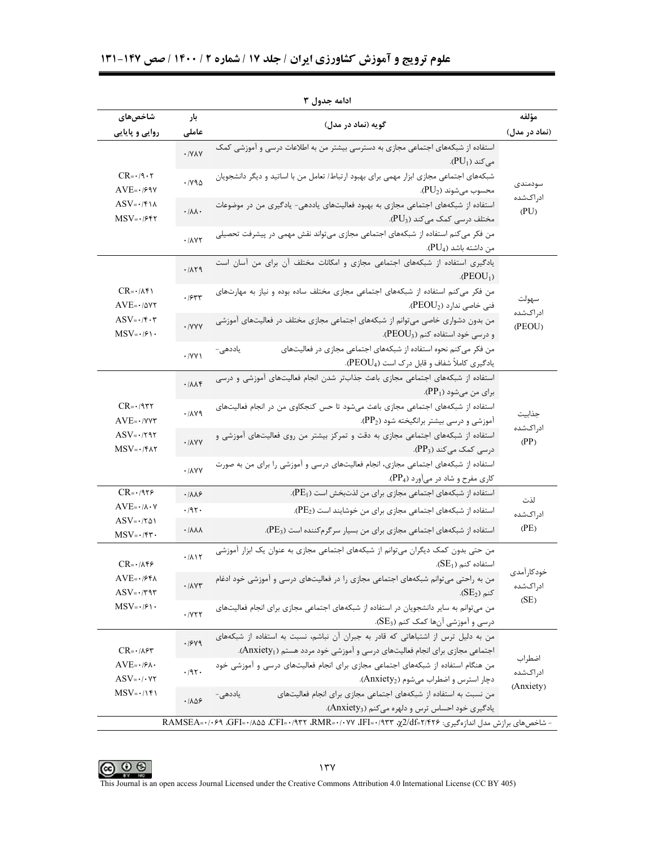| شاخصهای                                                                                                 | بار                               | گويه (نماد در مدل)                                                                                                                                                           | مؤلفه                  |  |  |  |  |  |
|---------------------------------------------------------------------------------------------------------|-----------------------------------|------------------------------------------------------------------------------------------------------------------------------------------------------------------------------|------------------------|--|--|--|--|--|
| روایی و پایایی                                                                                          | عاملى                             |                                                                                                                                                                              | (نماد در مدل)          |  |  |  |  |  |
| $CR = \cdot 19 \cdot 7$<br>$AVE = -189Y$<br>$ASV = \cdot$ /۴۱۸<br>$MSV = -1957$                         | $\cdot$ /YAY                      | استفاده از شبکههای اجتماعی مجازی به دسترسی بیشتر من به اطلاعات درسی و آموزشی کمک<br>.(PU <sub>1</sub> ) می کند                                                               |                        |  |  |  |  |  |
|                                                                                                         | $\cdot$ / $\vee$ 9 $\triangle$    | شبکههای اجتماعی مجازی ابزار مهمی برای بهبود ارتباط/ تعامل من با اساتید و دیگر دانشجویان<br>،محسوب مىشوند (PU2).                                                              | سودمندى                |  |  |  |  |  |
|                                                                                                         | $\cdot/\lambda\lambda$            | استفاده از شبکههای اجتماعی مجازی به بهبود فعالیتهای یاددهی- یادگیری من در موضوعات<br>مختلف درسی کمک میکند (PU3).                                                             | ادر اکشده<br>(PU)      |  |  |  |  |  |
|                                                                                                         | $. / \lambda \Upsilon \Upsilon$   | من فکر می کنم استفاده از شبکههای اجتماعی مجازی میتواند نقش مهمی در پیشرفت تحصیلی<br>من داشته باشد (PU <sub>4</sub> ).                                                        |                        |  |  |  |  |  |
|                                                                                                         | .711                              | یادگیری استفاده از شبکههای اجتماعی مجازی و امکانات مختلف آن برای من آسان است<br>$(PEOU_1)$                                                                                   |                        |  |  |  |  |  |
| $CR = \cdot / \Lambda f$<br>$AVE = \cdot / \Delta VY$                                                   | .754                              | من فکر می کنم استفاده از شبکههای اجتماعی مجازی مختلف ساده بوده و نیاز به مهارتهای<br>فنی خاصی ندارد (PEOU2).                                                                 | سهولت                  |  |  |  |  |  |
| $ASV = \cdot$ / $\mathbf{f} \cdot \mathbf{r}$<br>$MSV = \frac{1}{2}$                                    | · /YYY                            | من بدون دشواری خاصی می توانم از شبکههای اجتماعی مجازی مختلف در فعالیتهای آموزشی<br>و درسی خود استفاده کنم (PEOU3).                                                           | ادراكشده<br>(PEOU)     |  |  |  |  |  |
|                                                                                                         | $\cdot$ /YY \                     | من فکر می کنم نحوه استفاده از شبکههای اجتماعی مجازی در فعالیتهای<br>یاددھی-<br>یادگیری کاملاً شفاف و قابل درک است (PEOU4).                                                   |                        |  |  |  |  |  |
| $CR = \cdot$ /9۳۲<br>$AVE=·/VVT$<br>$ASV = \cdot 797$<br>$MSV = \cdot$ /۴۸۲                             | .711                              | استفاده از شبکههای اجتماعی مجازی باعث جذابتر شدن انجام فعالیتهای آموزشی و درسی<br>$\langle PP_1\rangle$ برای من میشود (                                                      |                        |  |  |  |  |  |
|                                                                                                         | .714                              | استفاده از شبکههای اجتماعی مجازی باعث میشود تا حس کنجکاوی من در انجام فعالیتهای<br>آموزشی و درسی بیشتر برانگیخته شود (PP2).                                                  | جذابيت                 |  |  |  |  |  |
|                                                                                                         | $. / \lambda \gamma \gamma$       | استفاده از شبکههای اجتماعی مجازی به دقت و تمرکز بیشتر من روی فعالیتهای آموزشی و<br>درسی کمک میکند (PP3).                                                                     | ادراكشده<br>(PP)       |  |  |  |  |  |
|                                                                                                         | $\cdot$ / $\lambda$ YY            | استفاده از شبکههای اجتماعی مجازی، انجام فعالیتهای درسی و آموزشی را برای من به صورت<br>کاری مفرح و شاد در میآورد (PP4).                                                       |                        |  |  |  |  |  |
| $CR = \cdot 1979$                                                                                       | $\cdot$ / $\lambda \lambda$ ۶     | استفاده از شبکههای اجتماعی مجازی برای من لذتبخش است (PE1).                                                                                                                   | لذت                    |  |  |  |  |  |
| $AVE = \cdot / \lambda \cdot Y$                                                                         | .797.                             | استفاده از شبکههای اجتماعی مجازی برای من خوشایند است (PE2).                                                                                                                  | ادر اکشده              |  |  |  |  |  |
| $ASV = \cdot   \tau \Delta $<br>$MSV = \cdot$ /۴۳.                                                      | $\cdot$ / $\lambda\lambda\lambda$ | استفاده از شبکههای اجتماعی مجازی برای من بسیار سرگرم کننده است (PE3).                                                                                                        | (PE)                   |  |  |  |  |  |
| $CR = \cdot / \Lambda f$ ۶                                                                              | .711                              | من حتی بدون کمک دیگران میتوانم از شبکههای اجتماعی مجازی به عنوان یک ابزار آموزشی<br>استفاده کنم (SE <sub>1</sub> ).                                                          |                        |  |  |  |  |  |
| $AVE=~/$ ۶۴۸<br>$ASV = \cdot 797$<br>$MSV = \cdot / \mathcal{F} \cdot \mathcal{F}$                      | $\cdot$ / $\Lambda$ y۳            | من به راحتی میتوانم شبکههای اجتماعی مجازی را در فعالیتهای درسی و آموزشی خود ادغام<br>کنم (SE <sub>2</sub> ).                                                                 | خودكارأمدى<br>ادراكشده |  |  |  |  |  |
|                                                                                                         | .7Y                               | من میتوانم به سایر دانشجویان در استفاده از شبکههای اجتماعی مجازی برای انجام فعالیتهای<br>درسی و آموزشی آنها کمک کنم (SE3).                                                   | (SE)                   |  |  |  |  |  |
| $CR = \cdot / \lambda$ ۶۳<br>$AVE = \cdot$ / $\mathcal{F}\Lambda$<br>$ASV = \cdot / \cdot \forall \tau$ | .1949                             | من به دلیل ترس از اشتباهاتی که قادر به جبران آن نباشم، نسبت به استفاده از شبکههای<br>اجتماعی مجازی برای انجام فعالیتهای درسی و آموزشی خود مردد هستم (Anxiety <sub>1</sub> ). |                        |  |  |  |  |  |
|                                                                                                         | .791.                             | من هنگام استفاده از شبکههای اجتماعی مجازی برای انجام فعالیتهای درسی و آموزشی خود<br>دچار استرس و اضطراب می شوم (Anxiety2).                                                   | اضطراب<br>ادراكشده     |  |  |  |  |  |
| $MSV = \cdot / \uparrow \uparrow$                                                                       | .1109                             | من نسبت به استفاده از شبکههای اجتماعی مجازی برای انجام فعالیتهای<br>یاددھی –<br>یادگیری خود احساس ترس و دلهره می کنم (Anxiety3).                                             | (Anxiety)              |  |  |  |  |  |

ادامه جدول ۳

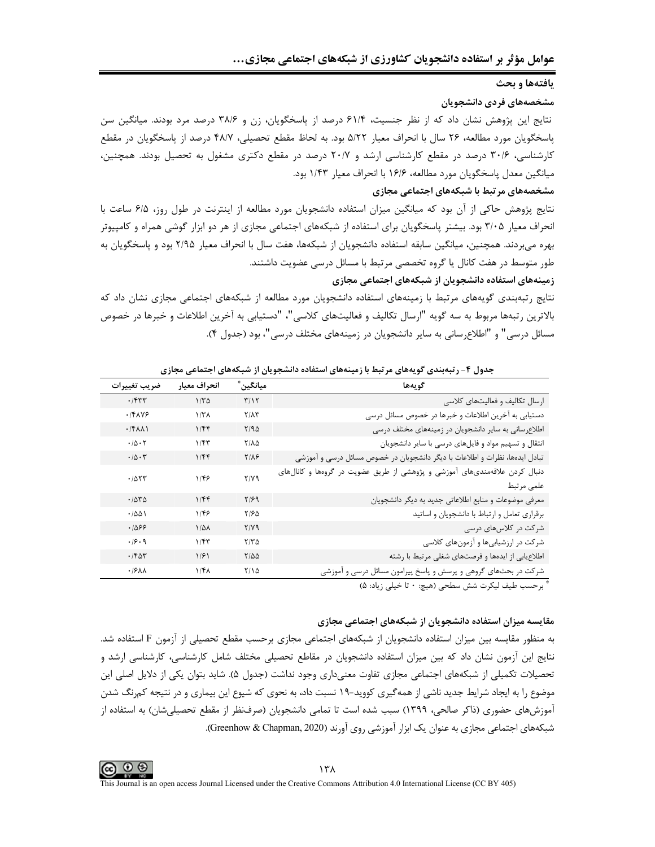بافتهها و بحث

مشخصههای فردی دانشجویان

نتایج این پژوهش نشان داد که از نظر جنسیت، ۶۱/۴ درصد از پاسخگویان، زن و ۳۸/۶ درصد مرد بودند. میانگین سن یاسخگویان مورد مطالعه، ۲۶ سال با انحراف معیار ۵/۲۲ بود. به لحاظ مقطع تحصیلی، ۴۸/۷ درصد از پاسخگویان در مقطع کارشناسی، ۳۰/۶ درصد در مقطع کارشناسی ارشد و ۲۰/۷ درصد در مقطع دکتری مشغول به تحصیل بودند. همچنین، ميانگين معدل پاسخگويان مورد مطالعه، ۱۶/۶ با انحراف معيار ۱/۴۳ بود.

#### مشخصههای مرتبط با شبکههای اجتماعی مجازی

نتايج پژوهش حاكي از آن بود كه ميانگين ميزان استفاده دانشجويان مورد مطالعه از اينترنت در طول روز، ۶/۵ ساعت با انحراف معیار ۳/۰۵ بود. بیشتر پاسخگویان برای استفاده از شبکههای اجتماعی مجازی از هر دو ابزار گوشی همراه و کامپیوتر بهره میبردند. همچنین، میانگین سابقه استفاده دانشجویان از شبکهها، هفت سال با انحراف معیار ۲/۹۵ بود و پاسخگویان به طور متوسط در هفت كانال يا گروه تخصصي مرتبط با مسائل درسي عضويت داشتند.

زمینههای استفاده دانشجویان از شبکههای اجتماعی مجازی

نتایج رتبهبندی گویههای مرتبط با زمینههای استفاده دانشجویان مورد مطالعه از شبکههای اجتماعی مجازی نشان داد که بالاترين رتبهها مربوط به سه گويه "ارسال تكاليف و فعاليتهاي كلاسي"، "دستيابي به آخرين اطلاعات و خبرها در خصوص مسائل درسی" و "اطلاعرسانی به سایر دانشجویان در زمینههای مختلف درسی"، بود (جدول ۴).

| ضريب تغييرات                  | انحراف معيار      | ْمِيانگين ُ      | گويەھا                                                                                                                                                                                                                          |
|-------------------------------|-------------------|------------------|---------------------------------------------------------------------------------------------------------------------------------------------------------------------------------------------------------------------------------|
| .771                          | $1/\tau \Delta$   | $\Gamma/\Gamma$  | ارسال تکالیف و فعالیتهای کلاسی                                                                                                                                                                                                  |
| $\cdot$ /۴۸۷۶                 | 1/T <sub>A</sub>  | $Y/\lambda Y$    | دستیابی به آخرین اطلاعات و خبرها در خصوص مسائل درسی                                                                                                                                                                             |
| $\cdot$ /۴ $\lambda\lambda$   | 1/FF              | Y/90             | اطلاع رسانی به سایر دانشجویان در زمینههای مختلف درسی                                                                                                                                                                            |
| $\cdot/\Delta \cdot \Upsilon$ | 1/fT              | <b>T/AQ</b>      | انتقال و تسهیم مواد و فایلهای درسی با سایر دانشجویان                                                                                                                                                                            |
| $\cdot/\Diamond\cdot\Upsilon$ | 1/Ff              | $Y/\lambda$ ۶    | تبادل ایدهها، نظرات و اطلاعات با دیگر دانشجویان در خصوص مسائل درسی و آموزشی                                                                                                                                                     |
| .7057                         | $1/\sqrt{5}$      | $Y/Y$ ۹          | دنبال کردن علاقهمندیهای آموزشی و پژوهشی از طریق عضویت در گروهها و کانالهای<br>علمى مرتبط                                                                                                                                        |
| .7040                         | 1/FF              | $Y/\mathcal{F}$  | معرفی موضوعات و منابع اطلاعاتی جدید به دیگر دانشجویان                                                                                                                                                                           |
| .7001                         | 1/46              | ۲۱۶۵             | برقراري تعامل وارتباط با دانشجويان واساتيد                                                                                                                                                                                      |
| ۰۱۵۶۶                         | $1/\Delta\lambda$ | Y/Y              | شرکت در کلاسهای درسی                                                                                                                                                                                                            |
| .49.9                         | 1/fT              | $Y/Y\Delta$      | شرکت در ارزشیابیها و آزمونهای کلاسی                                                                                                                                                                                             |
| .768                          | 1/51              | $Y/\Delta\Delta$ | اطلاعیابی از ایدهها و فرصتهای شغلی مرتبط با رشته                                                                                                                                                                                |
| $\cdot$ / $5\lambda\lambda$   | $1/f\lambda$      | $Y/\lambda$      | شرکت در بحثهای گروهی و پرسش و پاسخ پیرامون مسائل درسی و آموزشی                                                                                                                                                                  |
|                               |                   |                  | $\sim$ 1. The contract of the contract of the contract of the contract of the contract of the contract of the contract of the contract of the contract of the contract of the contract of the contract of the contract of the c |

جدول ۴- رتبهبندی گویههای مرتبط با زمینههای استفاده دانشجویان از شبکههای اجتماعی مجازی

برحسب طيف ليكرت شش سطحي (هيچ: • تا خيلي زياد: ۵)

## مقایسه میزان استفاده دانشجویان از شبکههای اجتماعی مجازی

به منظور مقایسه بین میزان استفاده دانشجویان از شبکههای اجتماعی مجازی برحسب مقطع تحصیلی از آزمون F استفاده شد. نتایج این آزمون نشان داد که بین میزان استفاده دانشجویان در مقاطع تحصیلی مختلف شامل کارشناسی، کارشناسی ارشد و تحصیلات تکمیلی از شبکههای اجتماعی مجازی تفاوت معنیداری وجود نداشت (جدول ۵). شاید بتوان یکی از دلایل اصلی این موضوع را به ایجاد شرایط جدید ناشی از همهگیری کووید-۱۹ نسبت داد، به نحوی که شیوع این بیماری و در نتیجه کمرنگ شدن آموزش های حضوری (ذاکر صالحی، ۱۳۹۹) سبب شده است تا تمامی دانشجویان (صرفنظر از مقطع تحصیلیشان) به استفاده از شبکههای اجتماعی مجازی به عنوان یک ابزار آموزشی روی آورند (Greenhow & Chapman, 2020).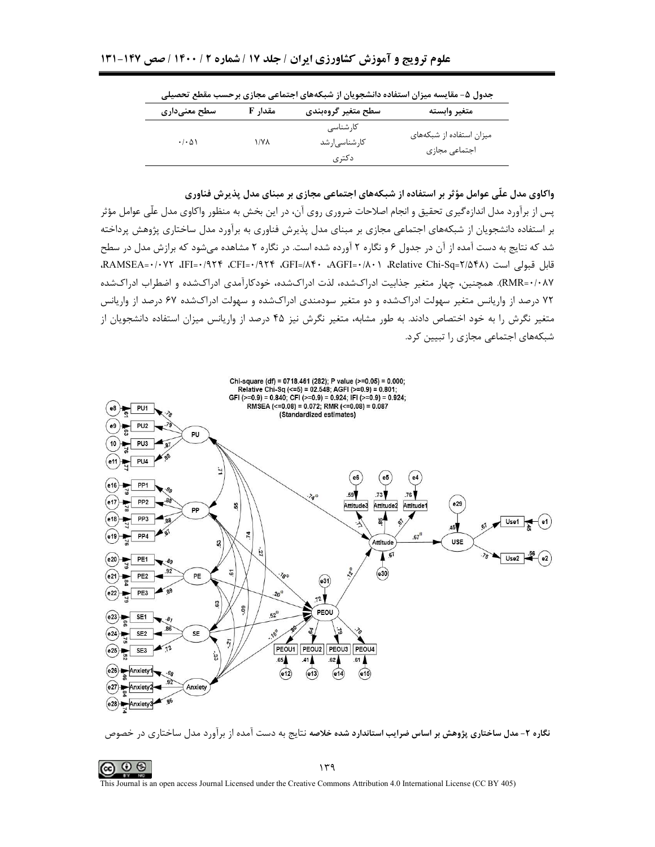|                                     |         | جدول ۵– مقایسه میزان استفاده دانسجویان از سبکههای اجتماعی مجاری برخسب مقطع تحصینی |                                           |
|-------------------------------------|---------|-----------------------------------------------------------------------------------|-------------------------------------------|
| سطح معنیداری                        | مقدار F | سطح متغير گروهبندي                                                                | متغير وابسته                              |
| $\cdot$ / $\cdot$ $\wedge$ $\wedge$ | ۱/۷۸    | کا, شناسے ِ<br>كارشناسى رشد<br>دکتری                                              | میزان استفاده از شبکههای<br>اجتماعي مجازى |

 $1 - 1 + 1 + 1 + 1$  $\mathbf{A} = \mathbf{A} + \mathbf{A} + \mathbf{A} + \mathbf{A} + \mathbf{A} + \mathbf{A} + \mathbf{A} + \mathbf{A} + \mathbf{A} + \mathbf{A} + \mathbf{A} + \mathbf{A} + \mathbf{A} + \mathbf{A} + \mathbf{A} + \mathbf{A} + \mathbf{A} + \mathbf{A} + \mathbf{A} + \mathbf{A} + \mathbf{A} + \mathbf{A} + \mathbf{A} + \mathbf{A} + \mathbf{A} + \mathbf{A} + \mathbf{A} + \mathbf{A} + \mathbf{A} + \mathbf{A} + \mathbf$ 

واکاوی مدل علّی عوامل مؤثر بر استفاده از شبکههای اجتماعی مجازی بر مبنای مدل پذیرش فناوری

پس از برآورد مدل اندازهگیری تحقیق و انجام اصلاحات ضروری روی آن، در این بخش به منظور واکاوی مدل علّی عوامل مؤثر بر استفاده دانشجویان از شبکههای اجتماعی مجازی بر مبنای مدل پذیرش فناوری به برآورد مدل ساختاری پژوهش پرداخته شد که نتایج به دست آمده از آن در جدول ۶ و نگاره ۲ آورده شده است. در نگاره ۲ مشاهده می شود که برازش مدل در سطح قابل قبولي است (AAMSEA=٠/٠٧٢ ،IFI=٠/٩٢۴ ،CFI=٠/٩٢۴ ،GFI=/٨۴٠ ،AGFI=٠/٨٠١ ،RAMSEA=٠/٠٧٢ ،IFI=٠/٩٢۴ ، RMR=٠/٠٨Υ). همچنین، چهار متغیر جذابیت ادراکشده، لذت ادراکشده، خودکارآمدی ادراکشده و اضطراب ادراکشده ۷۲ درصد از واریانس متغیر سهولت ادراکشده و دو متغیر سودمندی ادراکشده و سهولت ادراکشده ۶۷ درصد از واریانس متغیر نگرش را به خود اختصاص دادند. به طور مشابه، متغیر نگرش نیز ۴۵ درصد از واریانس میزان استفاده دانشجویان از شبکههای اجتماعی مجازی را تبیین کرد.



نگاره ۲- مدل ساختاری پژوهش بر اساس ضرایب استاندارد شده خلاصه نتایج به دست آمده از برآورد مدل ساختاری در خصوص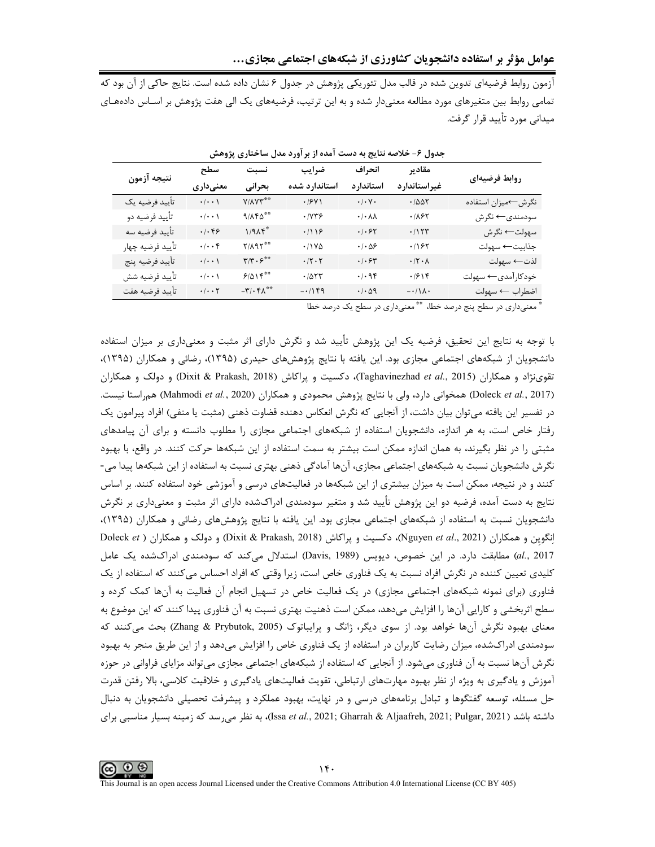آزمون روابط فرضیهای تدوین شده در قالب مدل تئوریکی پژوهش در جدول ۶ نشان داده شده است. نتایج حاکی از آن بود که تمامی روابط بین متغیرهای مورد مطالعه معنیدار شده و به این ترتیب، فرضیههای یک الی هفت پژوهش بر اسـاس دادههـای میدانی مورد تأیید قرار گرفت.

| نتيجه آزمون      | سطح                                                                                     | نسبت<br>بحرانى                              | ضرايب<br>استاندارد شده    | انحراف                                                                     | مقادير             | روابط فرضيهاى      |  |
|------------------|-----------------------------------------------------------------------------------------|---------------------------------------------|---------------------------|----------------------------------------------------------------------------|--------------------|--------------------|--|
|                  | معنىدارى                                                                                |                                             |                           | استاندارد                                                                  | غيراستاندارد       |                    |  |
| تأييد فرضيه يك   | $\cdot$ / $\cdot$ /                                                                     | Y/AY٣**                                     | .791                      | $\boldsymbol{\cdot}\,/\boldsymbol{\cdot}\, \mathsf{V}\,\boldsymbol{\cdot}$ | .7007              | نگرش←میزان استفاده |  |
| تأييد فرضيه دو   | $\cdot\, \!\cdot\cdot\cdot\,\rangle$                                                    | $9/\lambda$ ۴۵**                            | .1YY5                     | $\cdot/\cdot \lambda\lambda$                                               | .1157              | سودمندى← نگرش      |  |
| تأييد فرضيه سه   | $\cdot/\cdot$ ۴۶                                                                        | $1/9\Lambda f^*$                            | .719                      | .   . 57                                                                   | .7157              | سهولت← نگرش        |  |
| تأييد فرضيه چهار | $\cdot/\cdot\cdot$ ۴                                                                    | $Y/\lambda$ 9 $Y^{\ast\ast}$                | $.11Y\Delta$              | $\cdot$ / $\cdot$ $\Delta$ ۶                                               | .197               | جذابيت← سهولت      |  |
| تأييد فرضيه پنج  | $\cdot\, \!\cdot\cdot\cdot\,\rangle$                                                    | $\mathbf{r}/\mathbf{r}\cdot\mathbf{r}^{**}$ | $\cdot/\zeta \cdot \zeta$ | $\cdot$ / $\cdot$ $\circ$ $\cdot$                                          | $\cdot$ /۲ $\cdot$ | لذت← سهولت         |  |
| تأييد فرضيه شش   | $\cdot/\cdot\cdot$ )                                                                    | 9/015                                       | .7077                     | .499                                                                       | .7918              | خودکارآمدي← سهولت  |  |
| تأييد فرضيه هفت  | $\boldsymbol{\cdot}\, \boldsymbol{\cdot}\,\boldsymbol{\cdot}\,$ $\boldsymbol{\uparrow}$ | $-\mathbf{r}/\cdot\mathbf{r}$               | $-1149$                   | $\cdot$ / $\cdot$ $\triangle$ 9                                            | $-\cdot/\lambda$ . | اضطراب ← سهولت     |  |

جدول ۶- خلاصه نتایج به دست آمده از بر آورد مدل ساختاری پژوهش

" معنىدارى در سطح پنج درصد خطا، "" معنىدارى در سطح يک درصد خطا

با توجه به نتایج این تحقیق، فرضیه یک این پژوهش تأیید شد و نگرش دارای اثر مثبت و معنیداری بر میزان استفاده دانشجویان از شبکههای اجتماعی مجازی بود. این یافته با نتایج پژوهشهای حیدری (۱۳۹۵)، رضائی و همکاران (۱۳۹۵)، تقوىنژاد و همكاران (Taghavinezhad et al., 2015)، دكسيت و يراكاش (Dixit & Prakash, 2018) و دولك و همكاران (Doleck et al., 2017) همخوانی دارد، ولی با نتایج پژوهش محمودی و همکاران (Mahmodi et al., 2020) همراستا نیست. در تفسیر این یافته میتوان بیان داشت، از آنجایی که نگرش انعکاس دهنده قضاوت ذهنی (مثبت یا منفی) افراد پیرامون یک رفتار خاص است، به هر اندازه، دانشجویان استفاده از شبکههای اجتماعی مجازی را مطلوب دانسته و برای آن پیامدهای مثبتی را در نظر بگیرند، به همان اندازه ممکن است بیشتر به سمت استفاده از این شبکهها حرکت کنند. در واقع، با بهبود نگرش دانشجویان نسبت به شبکههای اجتماعی مجازی، آنها آمادگی ذهنی بهتری نسبت به استفاده از این شبکهها پیدا می-کنند و در نتیجه، ممکن است به میزان بیشتری از این شبکهها در فعالیتهای درسی و آموزشی خود استفاده کنند. بر اساس نتایج به دست آمده، فرضیه دو این پژوهش تأیید شد و متغیر سودمندی ادراکشده دارای اثر مثبت و معنیداری بر نگرش دانشجویان نسبت به استفاده از شبکههای اجتماعی مجازی بود. این یافته با نتایج پژوهشهای رضائی و همکاران (۱۳۹۵)، انگوین و همکاران (Nguyen et al., 2021)، دکسیت و پراکاش (Dixit & Prakash, 2018) و دولک و همکاران ( Doleck et al., 2017) مطابقت دارد. در این خصوص، دیویس (Davis, 1989) استدلال میکند که سودمندی ادراکشده یک عامل کلیدی تعیین کننده در نگرش افراد نسبت به یک فناوری خاص است، زیرا وقتی که افراد احساس میکنند که استفاده از یک فناوری (برای نمونه شبکههای اجتماعی مجازی) در یک فعالیت خاص در تسهیل انجام آن فعالیت به آنها کمک کرده و سطح اثربخشی و کارایی آنها را افزایش میدهد، ممکن است ذهنیت بهتری نسبت به آن فناوری پیدا کنند که این موضوع به معنای بهبود نگرش آنها خواهد بود. از سوی دیگر، ژانگ و پرایباتوک (Zhang & Prybutok, 2005) بحث میکنند که سودمندی ادراکشده، میزان رضایت کاربران در استفاده از یک فناوری خاص را افزایش میدهد و از این طریق منجر به بهبود نگرش آنها نسبت به آن فناوری می شود. از آنجایی که استفاده از شبکههای اجتماعی مجازی می تواند مزایای فراوانی در حوزه آموزش و يادگيري به ويژه از نظر بهبود مهارتهاي ارتباطي، تقويت فعاليتهاي يادگيري و خلاقيت كلاسي، بالا رفتن قدرت حل مسئله، توسعه گفتگوها و تبادل برنامههای درسی و در نهایت، بهبود عملکرد و پیشرفت تحصیلی دانشجویان به دنبال داشته باشد (Issa et al., 2021; Gharrah & Aljaafreh, 2021; Pulgar, 2021)، به نظر می رسد که زمینه بسیار مناسبی برای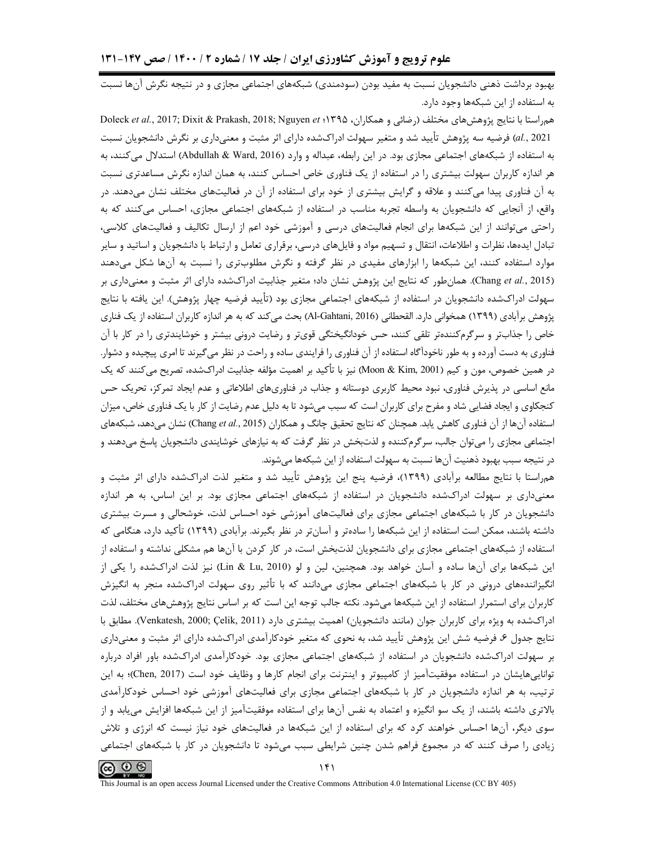بهبود برداشت ذهنی دانشجویان نسبت به مفید بودن (سودمندی) شبکههای اجتماعی مجازی و در نتیجه نگرش آنها نسبت به استفاده از این شبکهها وجود دارد.

هم راستا با نتايج يژوهش هاي مختلف (رضائي و همكاران، 1۳۹۵؛ Doleck et al., 2017; Dixit & Prakash, 2018; Nguyen et al., 2021) فرضيه سه پژوهش تأييد شد و متغير سهولت ادراكشده داراي اثر مثبت و معنىداري بر نگرش دانشجويان نسبت به استفاده از شبکههای اجتماعی مجازی بود. در این رابطه، عبداله و وارد (Abdullah & Ward, 2016) استدلال میکنند، به هر اندازه کاربران سهولت بیشتری را در استفاده از یک فناوری خاص احساس کنند، به همان اندازه نگرش مساعدتری نسبت به آن فناوری پیدا میکنند و علاقه و گرایش بیشتری از خود برای استفاده از آن در فعالیتهای مختلف نشان میدهند. در واقع، از آنجایی که دانشجویان به واسطه تجربه مناسب در استفاده از شبکههای اجتماعی مجازی، احساس میکنند که به راحتی می توانند از این شبکهها برای انجام فعالیتهای درسی و آموزشی خود اعم از ارسال تکالیف و فعالیتهای کلاسی، تبادل ایدهها، نظرات و اطلاعات، انتقال و تسهیم مواد و فایلهای درسی، برقراری تعامل و ارتباط با دانشجویان و اساتید و سایر موارد استفاده کنند، این شبکهها را ابزارهای مفیدی در نظر گرفته و نگرش مطلوبتری را نسبت به آنها شکل میدهند (Chang et al., 2015). همان طور که نتایج این پژوهش نشان داد؛ متغیر جذابیت ادراکشده دارای اثر مثبت و معنیداری بر سهولت ادراکشده دانشجویان در استفاده از شبکههای اجتماعی مجازی بود (تأیید فرضیه چهار پژوهش). این یافته با نتایج پژوهش برآبادی (۱۳۹۹) همخوانی دارد. القحطانی (Al-Gahtani, 2016) بحث میکند که به هر اندازه کاربران استفاده از یک فناری خاص را جذابتر و سرگرمکنندهتر تلقی کنند، حس خودانگیختگی قویتر و رضایت درونی بیشتر و خوشایندتری را در کار با آن فناوری به دست آورده و به طور ناخودآگاه استفاده از آن فناوری را فرایندی ساده و راحت در نظر میگیرند تا امری پیچیده و دشوار. در همین خصوص، مون و کیم (Moon & Kim, 2001) نیز با تأکید بر اهمیت مؤلفه جذابیت ادراکشده، تصریح میکنند که یک مانع اساسی در پذیرش فناوری، نبود محیط کاربری دوستانه و جذاب در فناوریهای اطلاعاتی و عدم ایجاد تمرکز، تحریک حس کنجکاوی و ایجاد فضایی شاد و مفرح برای کاربران است که سبب میشود تا به دلیل عدم رضایت از کار با یک فناوری خاص، میزان استفاده آنها از آن فناوری کاهش یابد. همچنان که نتایج تحقیق چانگ و همکاران (Chang et al., 2015) نشان می دهد، شبکههای اجتماعی مجازی را می توان جالب، سرگرمکننده و لذت بخش در نظر گرفت که به نیازهای خوشایندی دانشجویان پاسخ می دهند و در نتیجه سبب بهبود ذهنیت آنها نسبت به سهولت استفاده از این شبکهها می شوند.

همراستا با نتایج مطالعه برآبادی (۱۳۹۹)، فرضیه پنج این پژوهش تأیید شد و متغیر لذت ادراکشده دارای اثر مثبت و معنیداری بر سهولت ادراکشده دانشجویان در استفاده از شبکههای اجتماعی مجازی بود. بر این اساس، به هر اندازه دانشجویان در کار با شبکههای اجتماعی مجازی برای فعالیتهای آموزشی خود احساس لذت، خوشحالی و مسرت بیشتری داشته باشند، ممکن است استفاده از این شبکهها را سادهتر و آسانتر در نظر بگیرند. برآبادی (۱۳۹۹) تأکید دارد، هنگامی که استفاده از شبکههای اجتماعی مجازی برای دانشجویان لذتبخش است، در کار کردن با آنها هم مشکلی نداشته و استفاده از این شبکهها برای آنها ساده و آسان خواهد بود. همچنین، لین و لو (Lin & Lu, 2010) نیز لذت ادراکشده را یکی از انگیزانندههای درونی در کار با شبکههای اجتماعی مجازی میدانند که با تأثیر روی سهولت ادراکشده منجر به انگیزش کاربران برای استمرار استفاده از این شبکهها میشود. نکته جالب توجه این است که بر اساس نتایج پژوهشهای مختلف، لذت ادراکشده به ویژه برای کاربران جوان (مانند دانشجویان) اهمیت بیشتری دارد (Venkatesh, 2000; Çelik, 2011). مطابق با نتایج جدول ۶، فرضیه شش این پژوهش تأیید شد، به نحوی که متغیر خودکارآمدی ادراکشده دارای اثر مثبت و معنیداری بر سهولت ادراکشده دانشجویان در استفاده از شبکههای اجتماعی مجازی بود. خودکارآمدی ادراکشده باور افراد درباره تواناییهایشان در استفاده موفقیتآمیز از کامپیوتر و اینترنت برای انجام کارها و وظایف خود است (Chen, 2017)؛ به این ترتیب، به هر اندازه دانشجویان در کار با شبکههای اجتماعی مجازی برای فعالیتهای آموزشی خود احساس خودکارآمدی بالاتری داشته باشند، از یک سو انگیزه و اعتماد به نفس آنها برای استفاده موفقیتآمیز از این شبکهها افزایش مییابد و از سوی دیگر، آنها احساس خواهند کرد که برای استفاده از این شبکهها در فعالیتهای خود نیاز نیست که انرژی و تلاش زیادی را صرف کنند که در مجموع فراهم شدن چنین شرایطی سبب میشود تا دانشجویان در کار با شبکههای اجتماعی

ര $\Theta$  ®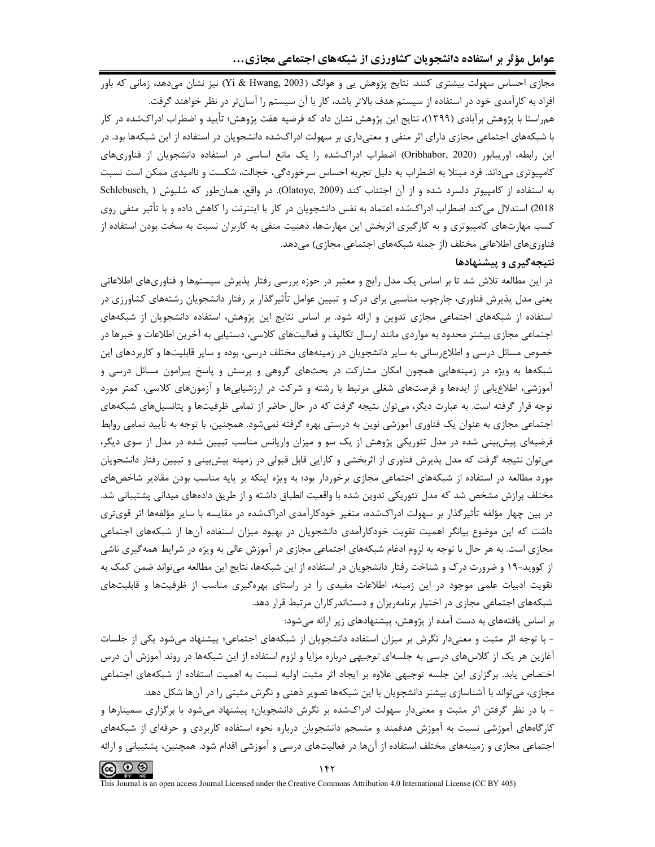مجازی احساس سهولت بیشتری کنند. نتایج پژوهش یی و هوانگ (Yi & Hwang, 2003) نیز نشان می،دهد، زمانی که باور افراد به کارآمدی خود در استفاده از سیستم هدف بالاتر باشد، کار با آن سیستم را آسانتر در نظر خواهند گرفت. هم٫استا با پژوهش برآبادی (۱۳۹۹)، نتایج این پژوهش نشان داد که فرضیه هفت پژوهش؛ تأیید و اضطراب اد٫اکشده د٫ کار با شبکههای اجتماعی مجازی دارای اثر منفی و معنیداری بر سهولت ادراکشده دانشجویان در استفاده از این شبکهها بود. در این رابطه، اوریبابور (Oribhabor, 2020) اضطراب ادراکشده را یک مانع اساسی در استفاده دانشجویان از فناوریهای کامپیوتری میداند. فرد مبتلا به اضطراب به دلیل تجربه احساس سرخوردگی، خجالت، شکست و ناامیدی ممکن است نسبت به استفاده از کامپیوتر دلسرد شده و از آن اجتناب کند (Olatoye, 2009). در واقع، همانطور که شلبوش ( Schlebusch, 2018) استدلال میکند اضطراب ادراکشده اعتماد به نفس دانشجویان در کار با اینترنت را کاهش داده و با تأثیر منفی روی کسب مهارتهای کامپیوتری و به کارگیری اثربخش این مهارتها، ذهنیت منفی به کاربران نسبت به سخت بودن استفاده از فناوريهاي اطلاعاتي مختلف (از جمله شبكههاي اجتماعي مجازي) مي دهد.

#### نتیجهگیری و پیشنهادها

در این مطالعه تلاش شد تا بر اساس یک مدل رایج و معتبر در حوزه بررسی رفتار پذیرش سیستمها و فناوریهای اطلاعاتی یعنی مدل پذیرش فناوری، چارچوب مناسبی برای درک و تبیین عوامل تأثیرگذار بر رفتار دانشجویان رشتههای کشاورزی در استفاده از شبکههای اجتماعی مجازی تدوین و ارائه شود. بر اساس نتایج این پژوهش، استفاده دانشجویان از شبکههای اجتماعی مجازی بیشتر محدود به مواردی مانند ارسال تکالیف و فعالیتهای کلاسی، دستیابی به آخرین اطلاعات و خبرها در خصوص مسائل درسی و اطلاعرسانی به سایر دانشجویان در زمینههای مختلف درسی، بوده و سایر قابلیتها و کاربردهای این شبکهها به ویژه در زمینههایی همچون امکان مشارکت در بحثهای گروهی و پرسش و پاسخ پیرامون مسائل درسی و آموزشی، اطلاع یابی از ایدهها و فرصتهای شغلی مرتبط با رشته و شرکت در ارزشیابیها و آزمونهای کلاسی، کمتر مورد توجه قرار گرفته است. به عبارت دیگر، می توان نتیجه گرفت که در حال حاضر از تمامی ظرفیتها و پتانسیلهای شبکههای اجتماعی مجازی به عنوان یک فناوری آموزشی نوین به درستی بهره گرفته نمی شود. همچنین، با توجه به تأیید تمامی روابط فرضیهای پیشبینی شده در مدل تئوریکی پژوهش از یک سو و میزان واریانس مناسب تبیین شده در مدل از سوی دیگر، می;توان نتیجه گرفت که مدل پذیرش فناوری از اثربخشی و کارایی قابل قبولی در زمینه پیش بینی و تبیین رفتار دانشجویان مورد مطالعه در استفاده از شبکههای اجتماعی مجازی برخوردار بود؛ به ویژه اینکه بر پایه مناسب بودن مقادیر شاخصهای مختلف برازش مشخص شد که مدل تئوریکی تدوین شده با واقعیت انطباق داشته و از طریق دادههای میدانی پشتیبانی شد. در بین چهار مؤلفه تأثیرگذار بر سهولت ادراکشده، متغیر خودکارآمدی ادراکشده در مقایسه با سایر مؤلفهها اثر قویتری داشت که این موضوع بیانگر اهمیت تقویت خودکارآمدی دانشجویان در بهبود میزان استفاده آنها از شبکههای اجتماعی مجازی است. به هر حال با توجه به لزوم ادغام شبکههای اجتماعی مجازی در آموزش عالی به ویژه در شرایط همه گیری ناشی از کووید-۱۹ و ضرورت درک و شناخت رفتار دانشجویان در استفاده از این شبکهها، نتایج این مطالعه میتواند ضمن کمک به تقویت ادبیات علمی موجود در این زمینه، اطلاعات مفیدی را در راستای بهرهگیری مناسب از ظرفیتها و قابلیتهای شبکههای اجتماعی مجازی در اختیار برنامهریزان و دستاندر کاران مرتبط قرار دهد.

بر اساس یافتههای به دست آمده از پژوهش، پیشنهادهای زیر ارائه میشود:

- با توجه اثر مثبت و معنیدار نگرش بر میزان استفاده دانشجویان از شبکههای اجتماعی؛ پیشنهاد میشود یکی از جلسات آغازین هر یک از کلاس@ای درسی به جلسهای *توجیهی* درباره مزایا و لزوم استفاده از این شبکهها در روند آموزش آن درس اختصاص یابد. برگزاری این جلسه توجیهی علاوه بر ایجاد اثر مثبت اولیه نسبت به اهمیت استفاده از شبکههای اجتماعی مجازی، میتواند با آشناسازی بیشتر دانشجویان با این شبکهها تصویر ذهنی و نگرش مثبتی را در آنها شکل دهد.

- با در نظر گرفتن اثر مثبت و معنیدار سهولت ادراکشده بر نگرش دانشجویان؛ پیشنهاد میشود با برگزاری سمینارها و کارگاههای آموزشی نسبت به آموزش هدفمند و منسجم دانشجویان درباره نحوه استفاده کاربردی و حرفهای از شبکههای اجتماعی مجازی و زمینههای مختلف استفاده از آنها در فعالیتهای درسی و آموزشی اقدام شود. همچنین، پشتیبانی و ارائه

 $\circledcirc$   $\circledcirc$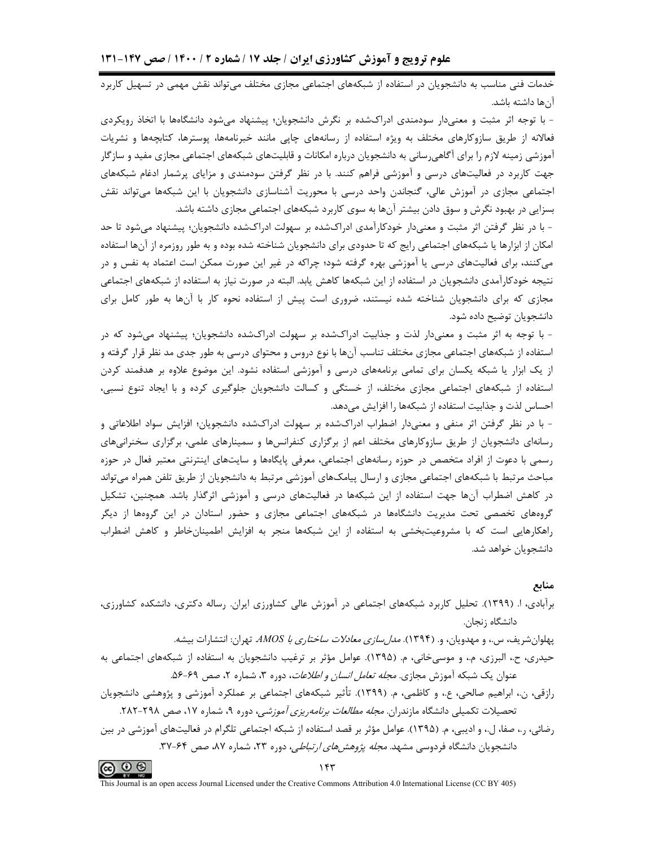خدمات فنی مناسب به دانشجویان در استفاده از شبکههای اجتماعی مجازی مختلف میتواند نقش مهمی در تسهیل کاربرد آنها داشته باشد.

– با توجه اثر مثبت و معنے دار سودمندی ادراکشده بر نگرش دانشجویان؛ پیشنهاد می،شود دانشگاهها با اتخاذ رویکردی فعالانه از طریق سازوکارهای مختلف به ویژه استفاده از رسانههای چاپی مانند خبرنامهها، پوسترها، کتابچهها و نشریات آموزشی زمینه لازم را برای آگاهی٬سانی به دانشجویان درباره امکانات و قابلیتهای شبکههای اجتماعی مجازی مفید و سازگار جهت کاربرد در فعالیتهای درسی و آموزشی فراهم کنند. با در نظر گرفتن سودمندی و مزایای پرشمار ادغام شبکههای اجتماعی مجازی در آموزش عالی، گنجاندن واحد درسی با محوریت آشناسازی دانشجویان با این شبکهها می تواند نقش بسزایی در بهبود نگرش و سوق دادن بیشتر آنها به سوی کاربرد شبکههای اجتماعی مجازی داشته باشد.

- با در نظر گرفتن اثر مثبت و معنیدار خودکارآمدی ادراکشده بر سهولت ادراکشده دانشجویان؛ پیشنهاد می شود تا حد امکان از ابزارها یا شبکههای اجتماعی رایج که تا حدودی برای دانشجویان شناخته شده بوده و به طور روزمره از آنها استفاده میکنند، برای فعالیتهای درسی یا آموزشی بهره گرفته شود؛ چراکه در غیر این صورت ممکن است اعتماد به نفس و در نتیجه خودکارآمدی دانشجویان در استفاده از این شبکهها کاهش یابد. البته در صورت نیاز به استفاده از شبکههای اجتماعی مجازی که برای دانشجویان شناخته شده نیستند، ضروری است پیش از استفاده نحوه کار با آنها به طور کامل برای دانشجويان توضيح داده شود.

- با توجه به اثر مثبت و معنیدار لذت و جذابیت ادراکشده بر سهولت ادراکشده دانشجویان؛ پیشنهاد میشود که در استفاده از شبکههای اجتماعی مجازی مختلف تناسب آنها با نوع دروس و محتوای درسی به طور جدی مد نظر قرار گرفته و از یک ابزار یا شبکه یکسان برای تمامی برنامههای درسی و آموزشی استفاده نشود. این موضوع علاوه بر هدفمند کردن استفاده از شبکههای اجتماعی مجازی مختلف، از خستگی و کسالت دانشجویان جلوگیری کرده و با ایجاد تنوع نسبی، احساس لذت و جذابیت استفاده از شبکهها را افزایش میدهد.

- با در نظر گرفتن اثر منفی و معنیدار اضطراب ادراکشده بر سهولت ادراکشده دانشجویان؛ افزایش سواد اطلاعاتی و رسانهای دانشجویان از طریق سازوکارهای مختلف اعم از برگزاری کنفرانسها و سمینارهای علمی، برگزاری سخنرانیهای رسمی با دعوت از افراد متخصص در حوزه رسانههای اجتماعی، معرفی پایگاهها و سایتهای اینترنتی معتبر فعال در حوزه مباحث مرتبط با شبکههای اجتماعی مجازی و ارسال پیامکهای آموزشی مرتبط به دانشجویان از طریق تلفن همراه می تواند در کاهش اضطراب آنها جهت استفاده از این شبکهها در فعالیتهای درسی و آموزشی اثرگذار باشد. همچنین، تشکیل گروههای تخصصی تحت مدیریت دانشگاهها در شبکههای اجتماعی مجازی و حضور استادان در این گروهها از دیگر راهکارهایی است که با مشروعیتبخشی به استفاده از این شبکهها منجر به افزایش اطمینانخاطر و کاهش اضطراب دانشجویان خواهد شد.

#### منابع

## برآبادی، ا. (۱۳۹۹). تحلیل کاربرد شبکههای اجتماعی در آموزش عالی کشاورزی ایران. رساله دکتری، دانشکده کشاورزی، دانشگاه زنجان.

پهلوان شریف، س.، و مهدویان، و. (۱۳۹۴). *مدل سازی معادلات ساختاری با AMOS* تهران: انتشارات بیشه. حیدری، ح.، البرزی، م.، و موسیخانی، م. (۱۳۹۵). عوامل مؤثر بر ترغیب دانشجویان به استفاده از شبکههای اجتماعی به عنوان یک شبکه آموزش مجازی. *مجله تعامل انسان و اطلاعات*، دوره ۳، شماره ۲، صص ۶۹-۵۶.

رازقی، ن.، ابراهیم صالحی، ع.، و کاظمی، م. (۱۳۹۹). تأثیر شبکههای اجتماعی بر عملکرد آموزشی و پژوهشی دانشجویان تحصیلات تکمیلی دانشگاه مازندران. *مجله مطالعات برنامهریزی آموزشی*، دوره ۹، شماره ۱۷، صص ۲۹۸-۲۸۲.

رضائی، ر.، صفا، ل.، و ادیبی، م. (۱۳۹۵). عوامل مؤثر بر قصد استفاده از شبکه اجتماعی تلگرام در فعالیتهای آموزشی در بین دانشجویان دانشگاه فردوسی مشهد. *مجله پژوهشهای ارتباطی*، دوره ۲۳، شماره ۸۷، صص ۶۴-۳۷.

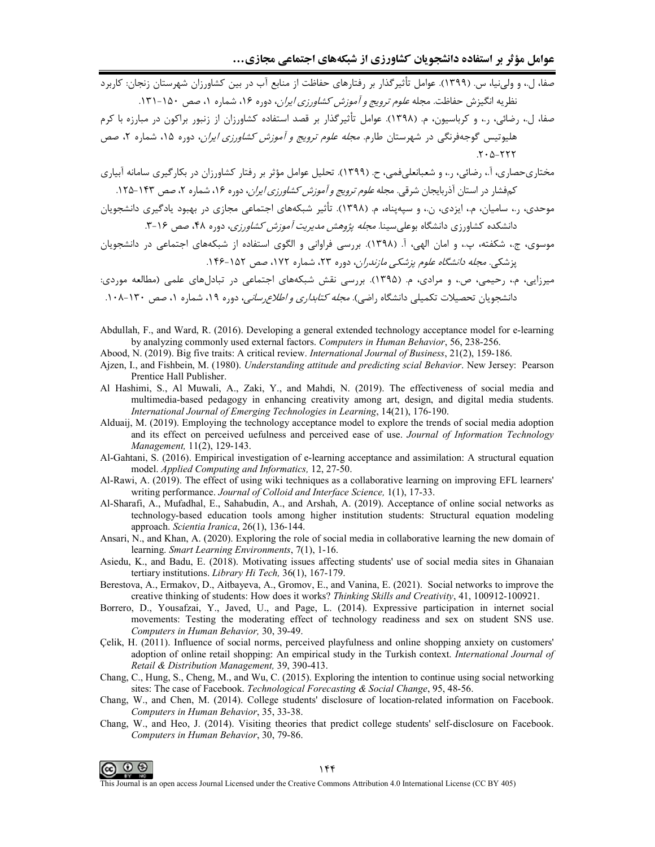.<br>صفا، ل.، و ولي نيا، س. (١٣٩٩). عوامل تأثير گذار بر رفتارهاي حفاظت از منابع آب در بين كشاورزان شهرستان زنجان: كاربرد نظريه انگيزش حفاظت. مجله *علوم ترويج و آموزش كشاورزي ايران*، دوره ۱۶، شماره ۱، صص ۱۵۰-۱۳۱.

صفا، ل.، رضائی، ر.، و کرباسیون، م. (۱۳۹۸). عوامل تأثیرگذار بر قصد استفاده کشاورزان از زنبور براکون در مبارزه با کرم هلیوتیس گوجهفرنگی در شهرستان طارم. *مجله علوم ترویج و آموزش کشاورزی ایران*، دوره ۱۵، شماره ۲، صص  $.7 - \Delta - YYY$ 

مختاریحصاری، آ.، رضائی، ر.، و شعبانعلیفمی، ح. (۱۳۹۹). تحلیل عوامل مؤثر بر رفتار کشاورزان در بکارگیری سامانه آبیاری کم فشار در استان آذربایجان شرقی. مجله *علوم ترویج و آموزش کشاورزی ایران*، دوره ۱۶، شماره ۲، صص ۱۴۳–۱۲۵.

موحدی، ر.، سامیان، م.، ایزدی، ن.، و سپهپناه، م. (۱۳۹۸). تأثیر شبکههای اجتماعی مجازی در بهبود یادگیری دانشجویان دانشکده کشاورزی دانشگاه بوعلے سینا. *محله پژوهش مدیریت آموزش کشاورزی،* دوره ۴۸، صص ۱۶-۳.

.<br>میرزایی، م.، رحیمی، ص.، و مرادی، م. (۱۳۹۵). بررسی نقش شبکههای اجتماعی در تبادلهای علمی (مطالعه موردی: دانشجویان تحصیلات تکمیلی دانشگاه راضی). *مجله کتابداری و اطلاع رسانی*، دوره ۱۹، شماره ۱، صص ۱۳۰-۱۰۸.

Abdullah, F., and Ward, R. (2016). Developing a general extended technology acceptance model for e-learning by analyzing commonly used external factors. Computers in Human Behavior, 56, 238-256.

Abood, N. (2019). Big five traits: A critical review. International Journal of Business, 21(2), 159-186.

- Ajzen, I., and Fishbein, M. (1980). Understanding attitude and predicting scial Behavior. New Jersey: Pearson Prentice Hall Publisher.
- Al Hashimi, S., Al Muwali, A., Zaki, Y., and Mahdi, N. (2019). The effectiveness of social media and multimedia-based pedagogy in enhancing creativity among art, design, and digital media students. International Journal of Emerging Technologies in Learning, 14(21), 176-190.
- Alduaij, M. (2019). Employing the technology acceptance model to explore the trends of social media adoption and its effect on perceived uefulness and perceived ease of use. Journal of Information Technology Management, 11(2), 129-143.
- Al-Gahtani, S. (2016). Empirical investigation of e-learning acceptance and assimilation: A structural equation model. Applied Computing and Informatics, 12, 27-50.
- Al-Rawi, A. (2019). The effect of using wiki techniques as a collaborative learning on improving EFL learners' writing performance. Journal of Colloid and Interface Science, 1(1), 17-33.
- Al-Sharafi, A., Mufadhal, E., Sahabudin, A., and Arshah, A. (2019). Acceptance of online social networks as technology-based education tools among higher institution students: Structural equation modeling approach. Scientia Iranica, 26(1), 136-144.
- Ansari, N., and Khan, A. (2020). Exploring the role of social media in collaborative learning the new domain of learning. Smart Learning Environments, 7(1), 1-16.
- Asiedu, K., and Badu, E. (2018). Motivating issues affecting students' use of social media sites in Ghanaian tertiary institutions. Library Hi Tech, 36(1), 167-179.
- Berestova, A., Ermakov, D., Aitbayeva, A., Gromov, E., and Vanina, E. (2021). Social networks to improve the creative thinking of students: How does it works? Thinking Skills and Creativity, 41, 100912-100921.
- Borrero, D., Yousafzai, Y., Javed, U., and Page, L. (2014). Expressive participation in internet social movements: Testing the moderating effect of technology readiness and sex on student SNS use. Computers in Human Behavior, 30, 39-49.
- Çelik, H. (2011). Influence of social norms, perceived playfulness and online shopping anxiety on customers' adoption of online retail shopping: An empirical study in the Turkish context. International Journal of Retail & Distribution Management, 39, 390-413.
- Chang, C., Hung, S., Cheng, M., and Wu, C. (2015). Exploring the intention to continue using social networking sites: The case of Facebook. Technological Forecasting & Social Change, 95, 48-56.
- Chang, W., and Chen, M. (2014). College students' disclosure of location-related information on Facebook. Computers in Human Behavior, 35, 33-38.
- Chang, W., and Heo, J. (2014). Visiting theories that predict college students' self-disclosure on Facebook. Computers in Human Behavior, 30, 79-86.

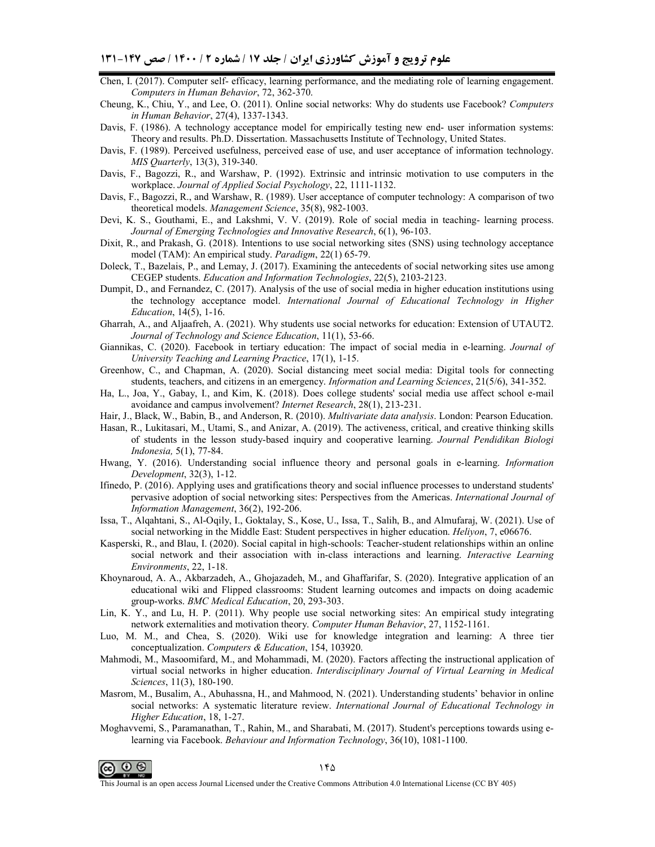- Chen, I. (2017). Computer self- efficacy, learning performance, and the mediating role of learning engagement. *Computers in Human Behavior*, 72, 362-370.
- Cheung, K., Chiu, Y., and Lee, O. (2011). Online social networks: Why do students use Facebook? *Computers in Human Behavior*, 27(4), 1337-1343.
- Davis, F. (1986). A technology acceptance model for empirically testing new end- user information systems: Theory and results. Ph.D. Dissertation. Massachusetts Institute of Technology, United States.
- Davis, F. (1989). Perceived usefulness, perceived ease of use, and user acceptance of information technology. *MIS Quarterly*, 13(3), 319-340.
- Davis, F., Bagozzi, R., and Warshaw, P. (1992). Extrinsic and intrinsic motivation to use computers in the workplace. *Journal of Applied Social Psychology*, 22, 1111-1132.
- Davis, F., Bagozzi, R., and Warshaw, R. (1989). User acceptance of computer technology: A comparison of two theoretical models. *Management Science*, 35(8), 982-1003.
- Devi, K. S., Gouthami, E., and Lakshmi, V. V. (2019). Role of social media in teaching- learning process. *Journal of Emerging Technologies and Innovative Research*, 6(1), 96-103.
- Dixit, R., and Prakash, G. (2018). Intentions to use social networking sites (SNS) using technology acceptance model (TAM): An empirical study. *Paradigm*, 22(1) 65-79.
- Doleck, T., Bazelais, P., and Lemay, J. (2017). Examining the antecedents of social networking sites use among CEGEP students. *Education and Information Technologies*, 22(5), 2103-2123.
- Dumpit, D., and Fernandez, C. (2017). Analysis of the use of social media in higher education institutions using the technology acceptance model. *International Journal of Educational Technology in Higher Education*, 14(5), 1-16.
- Gharrah, A., and Aljaafreh, A. (2021). Why students use social networks for education: Extension of UTAUT2. *Journal of Technology and Science Education*, 11(1), 53-66.
- Giannikas, C. (2020). Facebook in tertiary education: The impact of social media in e-learning. *Journal of University Teaching and Learning Practice*, 17(1), 1-15.
- Greenhow, C., and Chapman, A. (2020). Social distancing meet social media: Digital tools for connecting students, teachers, and citizens in an emergency. *Information and Learning Sciences*, 21(5/6), 341-352.
- Ha, L., Joa, Y., Gabay, I., and Kim, K. (2018). Does college students' social media use affect school e-mail avoidance and campus involvement? *Internet Research*, 28(1), 213-231.
- Hair, J., Black, W., Babin, B., and Anderson, R. (2010). *Multivariate data analysis*. London: Pearson Education.
- Hasan, R., Lukitasari, M., Utami, S., and Anizar, A. (2019). The activeness, critical, and creative thinking skills of students in the lesson study-based inquiry and cooperative learning. *Journal Pendidikan Biologi Indonesia,* 5(1), 77-84.
- Hwang, Y. (2016). Understanding social influence theory and personal goals in e-learning. *Information Development*, 32(3), 1-12.
- Ifinedo, P. (2016). Applying uses and gratifications theory and social influence processes to understand students' pervasive adoption of social networking sites: Perspectives from the Americas. *International Journal of Information Management*, 36(2), 192-206.
- Issa, T., Alqahtani, S., Al-Oqily, I., Goktalay, S., Kose, U., Issa, T., Salih, B., and Almufaraj, W. (2021). Use of social networking in the Middle East: Student perspectives in higher education. *Heliyon*, 7, e06676.
- Kasperski, R., and Blau, I. (2020). Social capital in high-schools: Teacher-student relationships within an online social network and their association with in-class interactions and learning. *Interactive Learning Environments*, 22, 1-18.
- Khoynaroud, A. A., Akbarzadeh, A., Ghojazadeh, M., and Ghaffarifar, S. (2020). Integrative application of an educational wiki and Flipped classrooms: Student learning outcomes and impacts on doing academic group-works. *BMC Medical Education*, 20, 293-303.
- Lin, K. Y., and Lu, H. P. (2011). Why people use social networking sites: An empirical study integrating network externalities and motivation theory. *Computer Human Behavior*, 27, 1152-1161.
- Luo, M. M., and Chea, S. (2020). Wiki use for knowledge integration and learning: A three tier conceptualization. *Computers & Education*, 154, 103920.
- Mahmodi, M., Masoomifard, M., and Mohammadi, M. (2020). Factors affecting the instructional application of virtual social networks in higher education. *Interdisciplinary Journal of Virtual Learning in Medical Sciences*, 11(3), 180-190.
- Masrom, M., Busalim, A., Abuhassna, H., and Mahmood, N. (2021). Understanding students' behavior in online social networks: A systematic literature review. *International Journal of Educational Technology in Higher Education*, 18, 1-27.
- Moghavvemi, S., Paramanathan, T., Rahin, M., and Sharabati, M. (2017). Student's perceptions towards using elearning via Facebook. *Behaviour and Information Technology*, 36(10), 1081-1100.

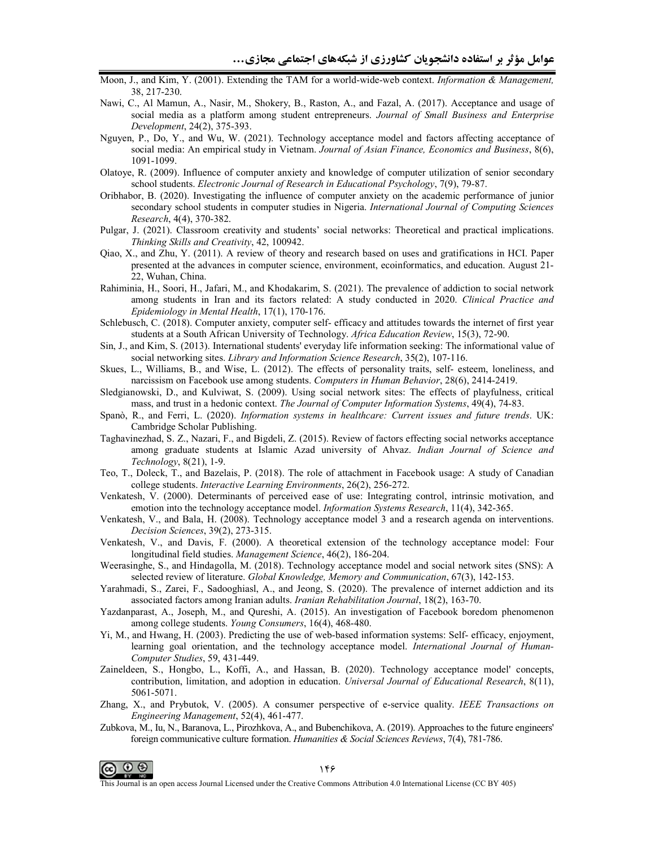- Moon, J., and Kim, Y. (2001). Extending the TAM for a world-wide-web context. Information & Management, 38, 217-230.
- Nawi, C., Al Mamun, A., Nasir, M., Shokery, B., Raston, A., and Fazal, A. (2017). Acceptance and usage of social media as a platform among student entrepreneurs. Journal of Small Business and Enterprise Development, 24(2), 375-393.
- Nguyen, P., Do, Y., and Wu, W. (2021). Technology acceptance model and factors affecting acceptance of social media: An empirical study in Vietnam. Journal of Asian Finance, Economics and Business, 8(6), 1091-1099.
- Olatove, R. (2009). Influence of computer anxiety and knowledge of computer utilization of senior secondary school students. Electronic Journal of Research in Educational Psychology, 7(9), 79-87.
- Oribhabor, B. (2020). Investigating the influence of computer anxiety on the academic performance of junior secondary school students in computer studies in Nigeria. International Journal of Computing Sciences Research, 4(4), 370-382.
- Pulgar, J. (2021). Classroom creativity and students' social networks: Theoretical and practical implications. Thinking Skills and Creativity, 42, 100942.
- Qiao, X., and Zhu, Y. (2011). A review of theory and research based on uses and gratifications in HCI. Paper presented at the advances in computer science, environment, ecoinformatics, and education. August 21-22, Wuhan, China.
- Rahiminia, H., Soori, H., Jafari, M., and Khodakarim, S. (2021). The prevalence of addiction to social network among students in Iran and its factors related: A study conducted in 2020. Clinical Practice and Epidemiology in Mental Health, 17(1), 170-176.
- Schlebusch, C. (2018). Computer anxiety, computer self-efficacy and attitudes towards the internet of first year students at a South African University of Technology. Africa Education Review, 15(3), 72-90.
- Sin, J., and Kim, S. (2013). International students' everyday life information seeking: The informational value of social networking sites. Library and Information Science Research, 35(2), 107-116.
- Skues, L., Williams, B., and Wise, L. (2012). The effects of personality traits, self-esteem, loneliness, and narcissism on Facebook use among students. Computers in Human Behavior, 28(6), 2414-2419.
- Sledgianowski, D., and Kulviwat, S. (2009). Using social network sites: The effects of playfulness, critical mass, and trust in a hedonic context. The Journal of Computer Information Systems, 49(4), 74-83.
- Spanò, R., and Ferri, L. (2020). Information systems in healthcare: Current issues and future trends. UK: Cambridge Scholar Publishing.
- Taghavinezhad, S. Z., Nazari, F., and Bigdeli, Z. (2015). Review of factors effecting social networks acceptance among graduate students at Islamic Azad university of Ahvaz. Indian Journal of Science and *Technology*,  $8(21)$ , 1-9.
- Teo, T., Doleck, T., and Bazelais, P. (2018). The role of attachment in Facebook usage: A study of Canadian college students. Interactive Learning Environments, 26(2), 256-272.
- Venkatesh, V. (2000). Determinants of perceived ease of use: Integrating control, intrinsic motivation, and emotion into the technology acceptance model. *Information Systems Research*, 11(4), 342-365.
- Venkatesh, V., and Bala, H. (2008). Technology acceptance model 3 and a research agenda on interventions. Decision Sciences, 39(2), 273-315.
- Venkatesh, V., and Davis, F. (2000). A theoretical extension of the technology acceptance model: Four longitudinal field studies. Management Science, 46(2), 186-204.
- Weerasinghe, S., and Hindagolla, M. (2018). Technology acceptance model and social network sites (SNS): A selected review of literature. Global Knowledge, Memory and Communication, 67(3), 142-153.
- Yarahmadi, S., Zarei, F., Sadooghiasl, A., and Jeong, S. (2020). The prevalence of internet addiction and its associated factors among Iranian adults. Iranian Rehabilitation Journal, 18(2), 163-70.
- Yazdanparast, A., Joseph, M., and Qureshi, A. (2015). An investigation of Facebook boredom phenomenon among college students. Young Consumers, 16(4), 468-480.
- Yi, M., and Hwang, H. (2003). Predicting the use of web-based information systems: Self- efficacy, enjoyment, learning goal orientation, and the technology acceptance model. International Journal of Human-Computer Studies, 59, 431-449.
- Zaineldeen, S., Hongbo, L., Koffi, A., and Hassan, B. (2020). Technology acceptance model' concepts, contribution, limitation, and adoption in education. Universal Journal of Educational Research, 8(11), 5061-5071.
- Zhang, X., and Prybutok, V. (2005). A consumer perspective of e-service quality. IEEE Transactions on Engineering Management, 52(4), 461-477.
- Zubkova, M., Iu, N., Baranova, L., Pirozhkova, A., and Bubenchikova, A. (2019). Approaches to the future engineers' foreign communicative culture formation. Humanities & Social Sciences Reviews, 7(4), 781-786.